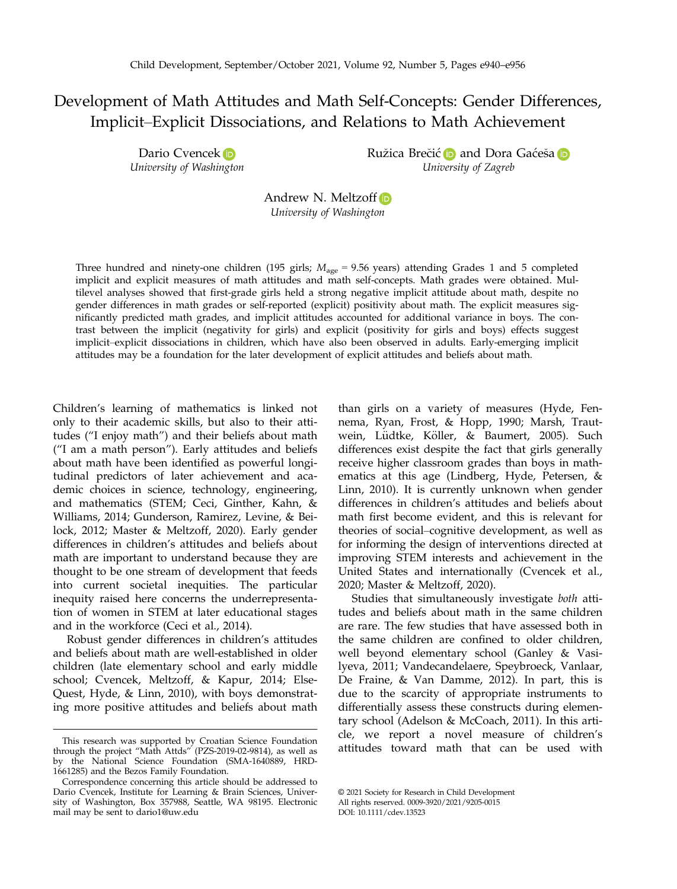# Development of Math Attitudes and Math Self-Concepts: Gender Differences, Implicit–Explicit Dissociations, and Relations to Math Achievement

Dario Cvence[k](https://orcid.org/0000-0002-0073-5862) D University of Washington Ružic[a](https://orcid.org/0000-0002-0975-5069) Brečić **D** and Dora Gaćeša **D** University of Zagreb

Andrew N. Meltzof[f](https://orcid.org/0000-0001-8683-0547) University of Washington

Three hundred and ninety-one children (195 girls;  $M_{\text{age}} = 9.56$  years) attending Grades 1 and 5 completed implicit and explicit measures of math attitudes and math self-concepts. Math grades were obtained. Multilevel analyses showed that first-grade girls held a strong negative implicit attitude about math, despite no gender differences in math grades or self-reported (explicit) positivity about math. The explicit measures significantly predicted math grades, and implicit attitudes accounted for additional variance in boys. The contrast between the implicit (negativity for girls) and explicit (positivity for girls and boys) effects suggest implicit–explicit dissociations in children, which have also been observed in adults. Early-emerging implicit attitudes may be a foundation for the later development of explicit attitudes and beliefs about math.

Children's learning of mathematics is linked not only to their academic skills, but also to their attitudes ("I enjoy math") and their beliefs about math ("I am a math person"). Early attitudes and beliefs about math have been identified as powerful longitudinal predictors of later achievement and academic choices in science, technology, engineering, and mathematics (STEM; Ceci, Ginther, Kahn, & Williams, 2014; Gunderson, Ramirez, Levine, & Beilock, 2012; Master & Meltzoff, 2020). Early gender differences in children's attitudes and beliefs about math are important to understand because they are thought to be one stream of development that feeds into current societal inequities. The particular inequity raised here concerns the underrepresentation of women in STEM at later educational stages and in the workforce (Ceci et al., 2014).

Robust gender differences in children's attitudes and beliefs about math are well-established in older children (late elementary school and early middle school; Cvencek, Meltzoff, & Kapur, 2014; Else-Quest, Hyde, & Linn, 2010), with boys demonstrating more positive attitudes and beliefs about math than girls on a variety of measures (Hyde, Fennema, Ryan, Frost, & Hopp, 1990; Marsh, Trautwein, Lüdtke, Köller, & Baumert, 2005). Such differences exist despite the fact that girls generally receive higher classroom grades than boys in mathematics at this age (Lindberg, Hyde, Petersen, & Linn, 2010). It is currently unknown when gender differences in children's attitudes and beliefs about math first become evident, and this is relevant for theories of social–cognitive development, as well as for informing the design of interventions directed at improving STEM interests and achievement in the United States and internationally (Cvencek et al., 2020; Master & Meltzoff, 2020).

Studies that simultaneously investigate both attitudes and beliefs about math in the same children are rare. The few studies that have assessed both in the same children are confined to older children, well beyond elementary school (Ganley & Vasilyeva, 2011; Vandecandelaere, Speybroeck, Vanlaar, De Fraine, & Van Damme, 2012). In part, this is due to the scarcity of appropriate instruments to differentially assess these constructs during elementary school (Adelson & McCoach, 2011). In this article, we report a novel measure of children's

This research was supported by Croatian Science Foundation<br>through the project "Math Attds" (PZS-2019-02-9814), as well as<br>**attitudes** toward math that can be used with by the National Science Foundation (SMA-1640889, HRD-1661285) and the Bezos Family Foundation.

Correspondence concerning this article should be addressed to Dario Cvencek, Institute for Learning & Brain Sciences, University of Washington, Box 357988, Seattle, WA 98195. Electronic mail may be sent to [dario1@uw.edu](mailto:)

<sup>©</sup> 2021 Society for Research in Child Development All rights reserved. 0009-3920/2021/9205-0015 DOI: 10.1111/cdev.13523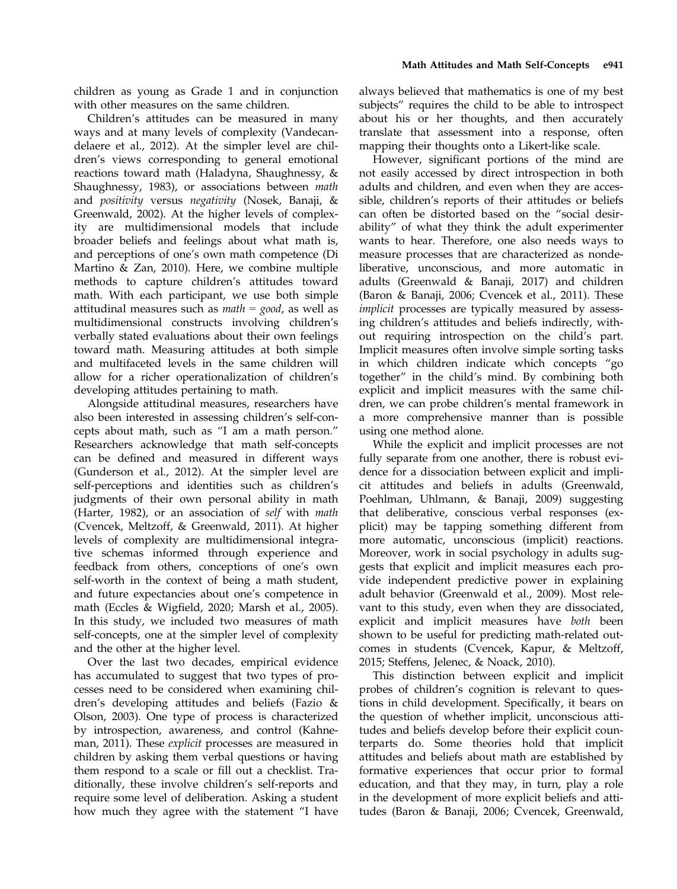children as young as Grade 1 and in conjunction with other measures on the same children.

Children's attitudes can be measured in many ways and at many levels of complexity (Vandecandelaere et al., 2012). At the simpler level are children's views corresponding to general emotional reactions toward math (Haladyna, Shaughnessy, & Shaughnessy, 1983), or associations between math and positivity versus negativity (Nosek, Banaji, & Greenwald, 2002). At the higher levels of complexity are multidimensional models that include broader beliefs and feelings about what math is, and perceptions of one's own math competence (Di Martino & Zan, 2010). Here, we combine multiple methods to capture children's attitudes toward math. With each participant, we use both simple attitudinal measures such as  $math = good$ , as well as multidimensional constructs involving children's verbally stated evaluations about their own feelings toward math. Measuring attitudes at both simple and multifaceted levels in the same children will allow for a richer operationalization of children's developing attitudes pertaining to math.

Alongside attitudinal measures, researchers have also been interested in assessing children's self-concepts about math, such as "I am a math person." Researchers acknowledge that math self-concepts can be defined and measured in different ways (Gunderson et al., 2012). At the simpler level are self-perceptions and identities such as children's judgments of their own personal ability in math (Harter, 1982), or an association of self with math (Cvencek, Meltzoff, & Greenwald, 2011). At higher levels of complexity are multidimensional integrative schemas informed through experience and feedback from others, conceptions of one's own self-worth in the context of being a math student, and future expectancies about one's competence in math (Eccles & Wigfield, 2020; Marsh et al., 2005). In this study, we included two measures of math self-concepts, one at the simpler level of complexity and the other at the higher level.

Over the last two decades, empirical evidence has accumulated to suggest that two types of processes need to be considered when examining children's developing attitudes and beliefs (Fazio & Olson, 2003). One type of process is characterized by introspection, awareness, and control (Kahneman, 2011). These *explicit* processes are measured in children by asking them verbal questions or having them respond to a scale or fill out a checklist. Traditionally, these involve children's self-reports and require some level of deliberation. Asking a student how much they agree with the statement "I have

always believed that mathematics is one of my best subjects" requires the child to be able to introspect about his or her thoughts, and then accurately translate that assessment into a response, often mapping their thoughts onto a Likert-like scale.

However, significant portions of the mind are not easily accessed by direct introspection in both adults and children, and even when they are accessible, children's reports of their attitudes or beliefs can often be distorted based on the "social desirability" of what they think the adult experimenter wants to hear. Therefore, one also needs ways to measure processes that are characterized as nondeliberative, unconscious, and more automatic in adults (Greenwald & Banaji, 2017) and children (Baron & Banaji, 2006; Cvencek et al., 2011). These implicit processes are typically measured by assessing children's attitudes and beliefs indirectly, without requiring introspection on the child's part. Implicit measures often involve simple sorting tasks in which children indicate which concepts "go together" in the child's mind. By combining both explicit and implicit measures with the same children, we can probe children's mental framework in a more comprehensive manner than is possible using one method alone.

While the explicit and implicit processes are not fully separate from one another, there is robust evidence for a dissociation between explicit and implicit attitudes and beliefs in adults (Greenwald, Poehlman, Uhlmann, & Banaji, 2009) suggesting that deliberative, conscious verbal responses (explicit) may be tapping something different from more automatic, unconscious (implicit) reactions. Moreover, work in social psychology in adults suggests that explicit and implicit measures each provide independent predictive power in explaining adult behavior (Greenwald et al., 2009). Most relevant to this study, even when they are dissociated, explicit and implicit measures have both been shown to be useful for predicting math-related outcomes in students (Cvencek, Kapur, & Meltzoff, 2015; Steffens, Jelenec, & Noack, 2010).

This distinction between explicit and implicit probes of children's cognition is relevant to questions in child development. Specifically, it bears on the question of whether implicit, unconscious attitudes and beliefs develop before their explicit counterparts do. Some theories hold that implicit attitudes and beliefs about math are established by formative experiences that occur prior to formal education, and that they may, in turn, play a role in the development of more explicit beliefs and attitudes (Baron & Banaji, 2006; Cvencek, Greenwald,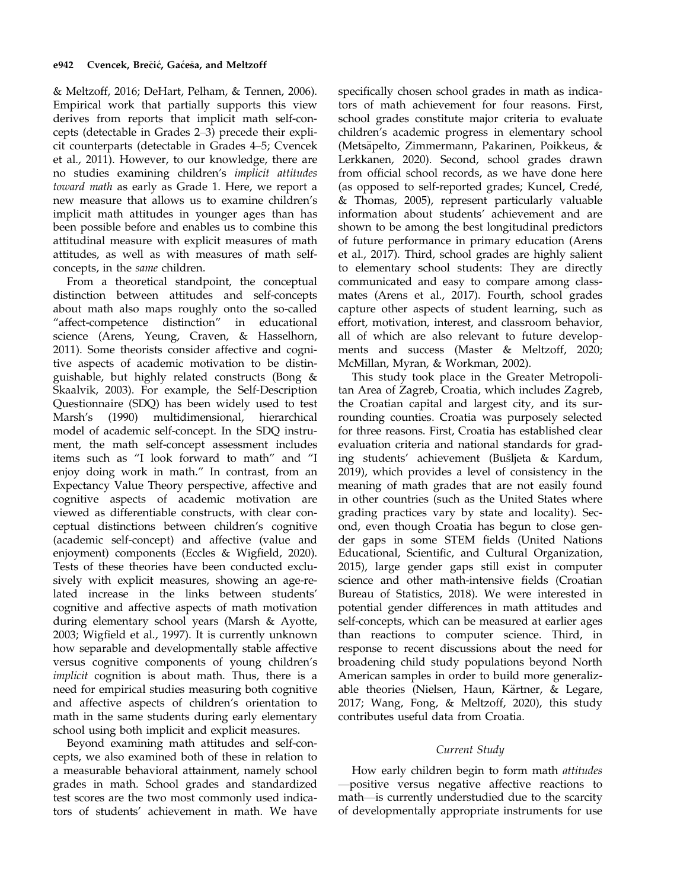& Meltzoff, 2016; DeHart, Pelham, & Tennen, 2006). Empirical work that partially supports this view derives from reports that implicit math self-concepts (detectable in Grades 2–3) precede their explicit counterparts (detectable in Grades 4–5; Cvencek et al., 2011). However, to our knowledge, there are no studies examining children's implicit attitudes toward math as early as Grade 1. Here, we report a new measure that allows us to examine children's implicit math attitudes in younger ages than has been possible before and enables us to combine this attitudinal measure with explicit measures of math attitudes, as well as with measures of math selfconcepts, in the same children.

From a theoretical standpoint, the conceptual distinction between attitudes and self-concepts about math also maps roughly onto the so-called "affect-competence distinction" in educational science (Arens, Yeung, Craven, & Hasselhorn, 2011). Some theorists consider affective and cognitive aspects of academic motivation to be distinguishable, but highly related constructs (Bong & Skaalvik, 2003). For example, the Self-Description Questionnaire (SDQ) has been widely used to test Marsh's (1990) multidimensional, hierarchical model of academic self-concept. In the SDQ instrument, the math self-concept assessment includes items such as "I look forward to math" and "I enjoy doing work in math." In contrast, from an Expectancy Value Theory perspective, affective and cognitive aspects of academic motivation are viewed as differentiable constructs, with clear conceptual distinctions between children's cognitive (academic self-concept) and affective (value and enjoyment) components (Eccles & Wigfield, 2020). Tests of these theories have been conducted exclusively with explicit measures, showing an age-related increase in the links between students' cognitive and affective aspects of math motivation during elementary school years (Marsh & Ayotte, 2003; Wigfield et al., 1997). It is currently unknown how separable and developmentally stable affective versus cognitive components of young children's implicit cognition is about math. Thus, there is a need for empirical studies measuring both cognitive and affective aspects of children's orientation to math in the same students during early elementary school using both implicit and explicit measures.

Beyond examining math attitudes and self-concepts, we also examined both of these in relation to a measurable behavioral attainment, namely school grades in math. School grades and standardized test scores are the two most commonly used indicators of students' achievement in math. We have

specifically chosen school grades in math as indicators of math achievement for four reasons. First, school grades constitute major criteria to evaluate children's academic progress in elementary school (Metsäpelto, Zimmermann, Pakarinen, Poikkeus, & Lerkkanen, 2020). Second, school grades drawn from official school records, as we have done here (as opposed to self-reported grades; Kuncel, Crede, & Thomas, 2005), represent particularly valuable information about students' achievement and are shown to be among the best longitudinal predictors of future performance in primary education (Arens et al., 2017). Third, school grades are highly salient to elementary school students: They are directly communicated and easy to compare among classmates (Arens et al., 2017). Fourth, school grades capture other aspects of student learning, such as effort, motivation, interest, and classroom behavior, all of which are also relevant to future developments and success (Master & Meltzoff, 2020; McMillan, Myran, & Workman, 2002).

This study took place in the Greater Metropolitan Area of Zagreb, Croatia, which includes Zagreb, the Croatian capital and largest city, and its surrounding counties. Croatia was purposely selected for three reasons. First, Croatia has established clear evaluation criteria and national standards for grading students' achievement (Busljeta & Kardum, 2019), which provides a level of consistency in the meaning of math grades that are not easily found in other countries (such as the United States where grading practices vary by state and locality). Second, even though Croatia has begun to close gender gaps in some STEM fields (United Nations Educational, Scientific, and Cultural Organization, 2015), large gender gaps still exist in computer science and other math-intensive fields (Croatian Bureau of Statistics, 2018). We were interested in potential gender differences in math attitudes and self-concepts, which can be measured at earlier ages than reactions to computer science. Third, in response to recent discussions about the need for broadening child study populations beyond North American samples in order to build more generalizable theories (Nielsen, Haun, Kärtner, & Legare, 2017; Wang, Fong, & Meltzoff, 2020), this study contributes useful data from Croatia.

### Current Study

How early children begin to form math attitudes —positive versus negative affective reactions to math—is currently understudied due to the scarcity of developmentally appropriate instruments for use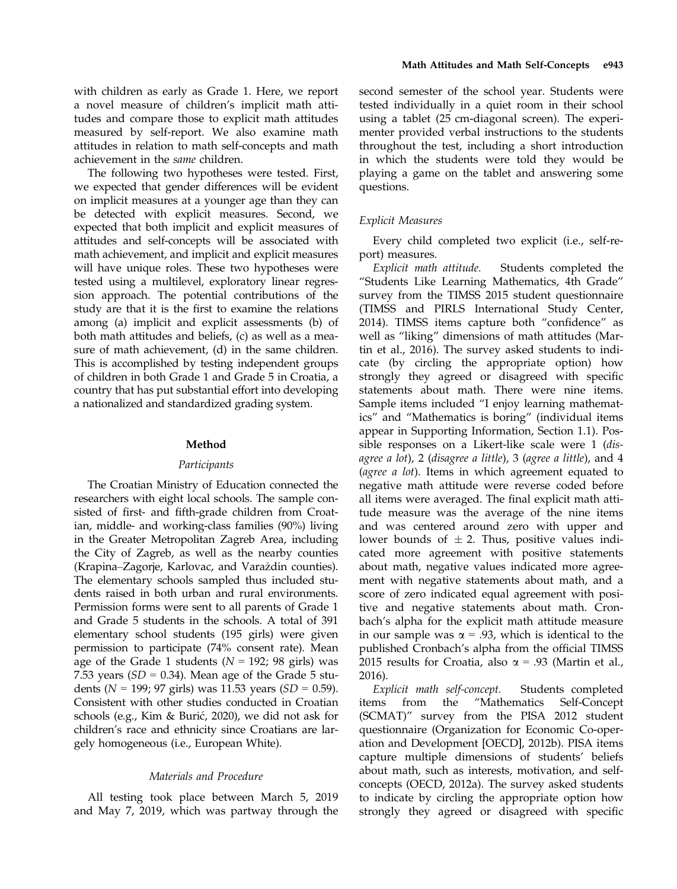with children as early as Grade 1. Here, we report a novel measure of children's implicit math attitudes and compare those to explicit math attitudes measured by self-report. We also examine math attitudes in relation to math self-concepts and math achievement in the same children.

The following two hypotheses were tested. First, we expected that gender differences will be evident on implicit measures at a younger age than they can be detected with explicit measures. Second, we expected that both implicit and explicit measures of attitudes and self-concepts will be associated with math achievement, and implicit and explicit measures will have unique roles. These two hypotheses were tested using a multilevel, exploratory linear regression approach. The potential contributions of the study are that it is the first to examine the relations among (a) implicit and explicit assessments (b) of both math attitudes and beliefs, (c) as well as a measure of math achievement, (d) in the same children. This is accomplished by testing independent groups of children in both Grade 1 and Grade 5 in Croatia, a country that has put substantial effort into developing a nationalized and standardized grading system.

# Method

### Participants

The Croatian Ministry of Education connected the researchers with eight local schools. The sample consisted of first- and fifth-grade children from Croatian, middle- and working-class families (90%) living in the Greater Metropolitan Zagreb Area, including the City of Zagreb, as well as the nearby counties (Krapina–Zagorje, Karlovac, and Varazdin counties). The elementary schools sampled thus included students raised in both urban and rural environments. Permission forms were sent to all parents of Grade 1 and Grade 5 students in the schools. A total of 391 elementary school students (195 girls) were given permission to participate (74% consent rate). Mean age of the Grade 1 students ( $N = 192$ ; 98 girls) was 7.53 years  $(SD = 0.34)$ . Mean age of the Grade 5 students ( $N = 199$ ; 97 girls) was 11.53 years ( $SD = 0.59$ ). Consistent with other studies conducted in Croatian schools (e.g., Kim & Buric, 2020), we did not ask for children's race and ethnicity since Croatians are largely homogeneous (i.e., European White).

### Materials and Procedure

All testing took place between March 5, 2019 and May 7, 2019, which was partway through the second semester of the school year. Students were tested individually in a quiet room in their school using a tablet (25 cm-diagonal screen). The experimenter provided verbal instructions to the students throughout the test, including a short introduction in which the students were told they would be playing a game on the tablet and answering some questions.

# Explicit Measures

Every child completed two explicit (i.e., self-report) measures.

Explicit math attitude. Students completed the "Students Like Learning Mathematics, 4th Grade" survey from the TIMSS 2015 student questionnaire (TIMSS and PIRLS International Study Center, 2014). TIMSS items capture both "confidence" as well as "liking" dimensions of math attitudes (Martin et al., 2016). The survey asked students to indicate (by circling the appropriate option) how strongly they agreed or disagreed with specific statements about math. There were nine items. Sample items included "I enjoy learning mathematics" and "Mathematics is boring" (individual items appear in Supporting Information, Section 1.1). Possible responses on a Likert-like scale were 1 (disagree a lot), 2 (disagree a little), 3 (agree a little), and 4 (agree a lot). Items in which agreement equated to negative math attitude were reverse coded before all items were averaged. The final explicit math attitude measure was the average of the nine items and was centered around zero with upper and lower bounds of  $\pm$  2. Thus, positive values indicated more agreement with positive statements about math, negative values indicated more agreement with negative statements about math, and a score of zero indicated equal agreement with positive and negative statements about math. Cronbach's alpha for the explicit math attitude measure in our sample was  $\alpha = .93$ , which is identical to the published Cronbach's alpha from the official TIMSS 2015 results for Croatia, also  $\alpha$  = .93 (Martin et al., 2016).

Explicit math self-concept. Students completed items from the "Mathematics Self-Concept (SCMAT)" survey from the PISA 2012 student questionnaire (Organization for Economic Co-operation and Development [OECD], 2012b). PISA items capture multiple dimensions of students' beliefs about math, such as interests, motivation, and selfconcepts (OECD, 2012a). The survey asked students to indicate by circling the appropriate option how strongly they agreed or disagreed with specific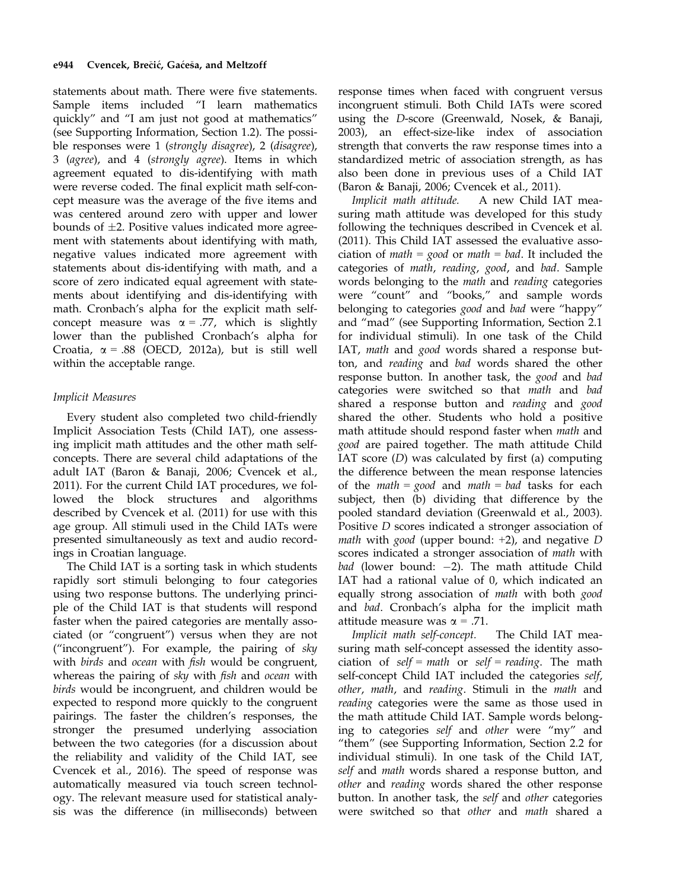statements about math. There were five statements. Sample items included "I learn mathematics quickly" and "I am just not good at mathematics" (see Supporting Information, Section 1.2). The possible responses were 1 (strongly disagree), 2 (disagree), 3 (agree), and 4 (strongly agree). Items in which agreement equated to dis-identifying with math were reverse coded. The final explicit math self-concept measure was the average of the five items and was centered around zero with upper and lower bounds of  $\pm 2$ . Positive values indicated more agreement with statements about identifying with math, negative values indicated more agreement with statements about dis-identifying with math, and a score of zero indicated equal agreement with statements about identifying and dis-identifying with math. Cronbach's alpha for the explicit math selfconcept measure was  $\alpha = .77$ , which is slightly lower than the published Cronbach's alpha for Croatia,  $\alpha = .88$  (OECD, 2012a), but is still well within the acceptable range.

# Implicit Measures

Every student also completed two child-friendly Implicit Association Tests (Child IAT), one assessing implicit math attitudes and the other math selfconcepts. There are several child adaptations of the adult IAT (Baron & Banaji, 2006; Cvencek et al., 2011). For the current Child IAT procedures, we followed the block structures and algorithms described by Cvencek et al. (2011) for use with this age group. All stimuli used in the Child IATs were presented simultaneously as text and audio recordings in Croatian language.

The Child IAT is a sorting task in which students rapidly sort stimuli belonging to four categories using two response buttons. The underlying principle of the Child IAT is that students will respond faster when the paired categories are mentally associated (or "congruent") versus when they are not ("incongruent"). For example, the pairing of  $sky$ with birds and ocean with fish would be congruent, whereas the pairing of sky with fish and ocean with birds would be incongruent, and children would be expected to respond more quickly to the congruent pairings. The faster the children's responses, the stronger the presumed underlying association between the two categories (for a discussion about the reliability and validity of the Child IAT, see Cvencek et al., 2016). The speed of response was automatically measured via touch screen technology. The relevant measure used for statistical analysis was the difference (in milliseconds) between

response times when faced with congruent versus incongruent stimuli. Both Child IATs were scored using the D-score (Greenwald, Nosek, & Banaji, 2003), an effect-size-like index of association strength that converts the raw response times into a standardized metric of association strength, as has also been done in previous uses of a Child IAT (Baron & Banaji, 2006; Cvencek et al., 2011).

Implicit math attitude. A new Child IAT measuring math attitude was developed for this study following the techniques described in Cvencek et al. (2011). This Child IAT assessed the evaluative association of *math* = good or *math* = bad. It included the categories of math, reading, good, and bad. Sample words belonging to the math and reading categories were "count" and "books," and sample words belonging to categories *good* and bad were "happy" and "mad" (see Supporting Information, Section 2.1 for individual stimuli). In one task of the Child IAT, math and good words shared a response button, and reading and bad words shared the other response button. In another task, the good and bad categories were switched so that math and bad shared a response button and reading and good shared the other. Students who hold a positive math attitude should respond faster when math and good are paired together. The math attitude Child IAT score (D) was calculated by first (a) computing the difference between the mean response latencies of the *math* = good and *math* = bad tasks for each subject, then (b) dividing that difference by the pooled standard deviation (Greenwald et al., 2003). Positive D scores indicated a stronger association of math with good (upper bound:  $+2$ ), and negative D scores indicated a stronger association of math with bad (lower bound:  $-2$ ). The math attitude Child IAT had a rational value of 0, which indicated an equally strong association of math with both good and bad. Cronbach's alpha for the implicit math attitude measure was  $\alpha$  = .71.

Implicit math self-concept. The Child IAT measuring math self-concept assessed the identity association of self = math or self = reading. The math self-concept Child IAT included the categories self, other, math, and reading. Stimuli in the math and reading categories were the same as those used in the math attitude Child IAT. Sample words belonging to categories self and other were "my" and "them" (see Supporting Information, Section 2.2 for individual stimuli). In one task of the Child IAT, self and math words shared a response button, and other and reading words shared the other response button. In another task, the self and other categories were switched so that other and math shared a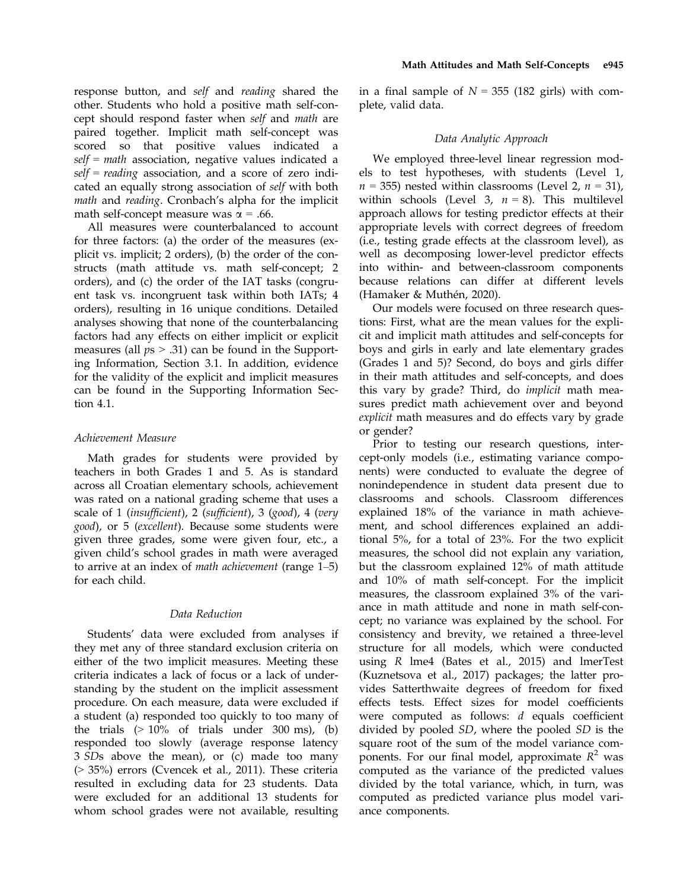response button, and self and reading shared the other. Students who hold a positive math self-concept should respond faster when self and math are paired together. Implicit math self-concept was scored so that positive values indicated a  $self = math$  association, negative values indicated a  $self = reading$  association, and a score of zero indicated an equally strong association of self with both math and reading. Cronbach's alpha for the implicit math self-concept measure was  $\alpha$  = .66.

All measures were counterbalanced to account for three factors: (a) the order of the measures (explicit vs. implicit; 2 orders), (b) the order of the constructs (math attitude vs. math self-concept; 2 orders), and (c) the order of the IAT tasks (congruent task vs. incongruent task within both IATs; 4 orders), resulting in 16 unique conditions. Detailed analyses showing that none of the counterbalancing factors had any effects on either implicit or explicit measures (all  $ps > .31$ ) can be found in the Supporting Information, Section 3.1. In addition, evidence for the validity of the explicit and implicit measures can be found in the Supporting Information Section 4.1.

# Achievement Measure

Math grades for students were provided by teachers in both Grades 1 and 5. As is standard across all Croatian elementary schools, achievement was rated on a national grading scheme that uses a scale of 1 (insufficient), 2 (sufficient), 3 (good), 4 (very good), or 5 (excellent). Because some students were given three grades, some were given four, etc., a given child's school grades in math were averaged to arrive at an index of math achievement (range 1–5) for each child.

### Data Reduction

Students' data were excluded from analyses if they met any of three standard exclusion criteria on either of the two implicit measures. Meeting these criteria indicates a lack of focus or a lack of understanding by the student on the implicit assessment procedure. On each measure, data were excluded if a student (a) responded too quickly to too many of the trials  $(>10\%$  of trials under 300 ms), (b) responded too slowly (average response latency 3 SDs above the mean), or (c) made too many (> 35%) errors (Cvencek et al., 2011). These criteria resulted in excluding data for 23 students. Data were excluded for an additional 13 students for whom school grades were not available, resulting

in a final sample of  $N = 355$  (182 girls) with complete, valid data.

### Data Analytic Approach

We employed three-level linear regression models to test hypotheses, with students (Level 1,  $n = 355$ ) nested within classrooms (Level 2,  $n = 31$ ), within schools (Level 3,  $n = 8$ ). This multilevel approach allows for testing predictor effects at their appropriate levels with correct degrees of freedom (i.e., testing grade effects at the classroom level), as well as decomposing lower-level predictor effects into within- and between-classroom components because relations can differ at different levels (Hamaker & Muthén, 2020).

Our models were focused on three research questions: First, what are the mean values for the explicit and implicit math attitudes and self-concepts for boys and girls in early and late elementary grades (Grades 1 and 5)? Second, do boys and girls differ in their math attitudes and self-concepts, and does this vary by grade? Third, do implicit math measures predict math achievement over and beyond explicit math measures and do effects vary by grade or gender?

Prior to testing our research questions, intercept-only models (i.e., estimating variance components) were conducted to evaluate the degree of nonindependence in student data present due to classrooms and schools. Classroom differences explained 18% of the variance in math achievement, and school differences explained an additional 5%, for a total of 23%. For the two explicit measures, the school did not explain any variation, but the classroom explained 12% of math attitude and 10% of math self-concept. For the implicit measures, the classroom explained 3% of the variance in math attitude and none in math self-concept; no variance was explained by the school. For consistency and brevity, we retained a three-level structure for all models, which were conducted using R lme4 (Bates et al., 2015) and lmerTest (Kuznetsova et al., 2017) packages; the latter provides Satterthwaite degrees of freedom for fixed effects tests. Effect sizes for model coefficients were computed as follows: d equals coefficient divided by pooled SD, where the pooled SD is the square root of the sum of the model variance components. For our final model, approximate  $R^2$  was computed as the variance of the predicted values divided by the total variance, which, in turn, was computed as predicted variance plus model variance components.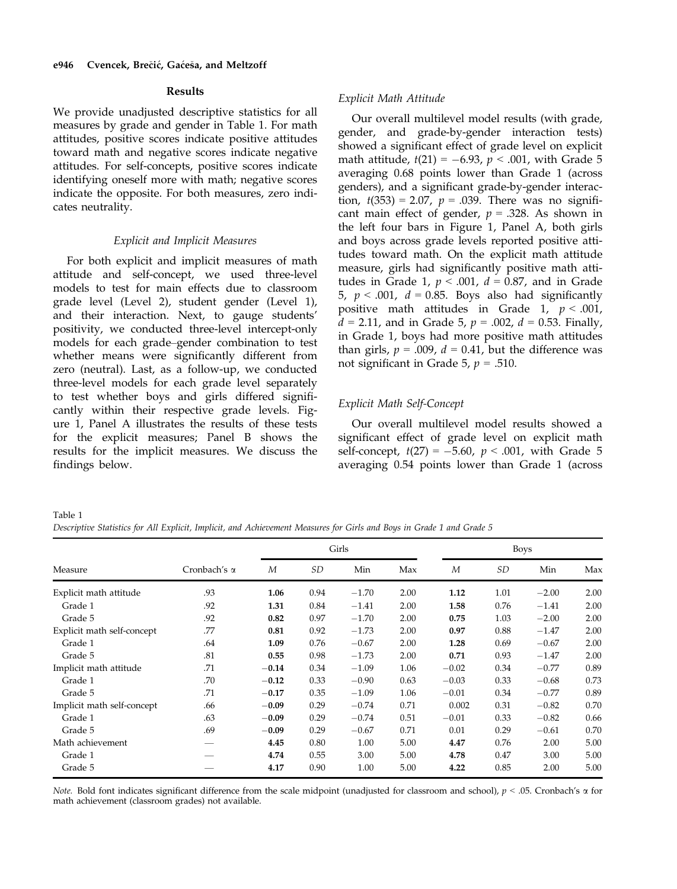### Results

We provide unadjusted descriptive statistics for all measures by grade and gender in Table 1. For math attitudes, positive scores indicate positive attitudes toward math and negative scores indicate negative attitudes. For self-concepts, positive scores indicate identifying oneself more with math; negative scores indicate the opposite. For both measures, zero indicates neutrality.

#### Explicit and Implicit Measures

For both explicit and implicit measures of math attitude and self-concept, we used three-level models to test for main effects due to classroom grade level (Level 2), student gender (Level 1), and their interaction. Next, to gauge students' positivity, we conducted three-level intercept-only models for each grade–gender combination to test whether means were significantly different from zero (neutral). Last, as a follow-up, we conducted three-level models for each grade level separately to test whether boys and girls differed significantly within their respective grade levels. Figure 1, Panel A illustrates the results of these tests for the explicit measures; Panel B shows the results for the implicit measures. We discuss the findings below.

#### Explicit Math Attitude

Our overall multilevel model results (with grade, gender, and grade-by-gender interaction tests) showed a significant effect of grade level on explicit math attitude,  $t(21) = -6.93$ ,  $p < .001$ , with Grade 5 averaging 0.68 points lower than Grade 1 (across genders), and a significant grade-by-gender interaction,  $t(353) = 2.07$ ,  $p = .039$ . There was no significant main effect of gender,  $p = .328$ . As shown in the left four bars in Figure 1, Panel A, both girls and boys across grade levels reported positive attitudes toward math. On the explicit math attitude measure, girls had significantly positive math attitudes in Grade 1,  $p < .001$ ,  $d = 0.87$ , and in Grade 5,  $p < .001$ ,  $d = 0.85$ . Boys also had significantly positive math attitudes in Grade 1,  $p < .001$ ,  $d = 2.11$ , and in Grade 5,  $p = .002$ ,  $d = 0.53$ . Finally, in Grade 1, boys had more positive math attitudes than girls,  $p = .009$ ,  $d = 0.41$ , but the difference was not significant in Grade 5,  $p = .510$ .

### Explicit Math Self-Concept

Our overall multilevel model results showed a significant effect of grade level on explicit math self-concept,  $t(27) = -5.60$ ,  $p < .001$ , with Grade 5 averaging 0.54 points lower than Grade 1 (across

Table 1

Descriptive Statistics for All Explicit, Implicit, and Achievement Measures for Girls and Boys in Grade 1 and Grade 5

|                            |                     |         | Girls |         |      |         | <b>Boys</b> |         |      |  |
|----------------------------|---------------------|---------|-------|---------|------|---------|-------------|---------|------|--|
| Measure                    | Cronbach's $\alpha$ | M       | SD    | Min     | Max  | M       | SD          | Min     | Max  |  |
| Explicit math attitude     | .93                 | 1.06    | 0.94  | $-1.70$ | 2.00 | 1.12    | 1.01        | $-2.00$ | 2.00 |  |
| Grade 1                    | .92                 | 1.31    | 0.84  | $-1.41$ | 2.00 | 1.58    | 0.76        | $-1.41$ | 2.00 |  |
| Grade 5                    | .92                 | 0.82    | 0.97  | $-1.70$ | 2.00 | 0.75    | 1.03        | $-2.00$ | 2.00 |  |
| Explicit math self-concept | .77                 | 0.81    | 0.92  | $-1.73$ | 2.00 | 0.97    | 0.88        | $-1.47$ | 2.00 |  |
| Grade 1                    | .64                 | 1.09    | 0.76  | $-0.67$ | 2.00 | 1.28    | 0.69        | $-0.67$ | 2.00 |  |
| Grade 5                    | .81                 | 0.55    | 0.98  | $-1.73$ | 2.00 | 0.71    | 0.93        | $-1.47$ | 2.00 |  |
| Implicit math attitude     | .71                 | $-0.14$ | 0.34  | $-1.09$ | 1.06 | $-0.02$ | 0.34        | $-0.77$ | 0.89 |  |
| Grade 1                    | .70                 | $-0.12$ | 0.33  | $-0.90$ | 0.63 | $-0.03$ | 0.33        | $-0.68$ | 0.73 |  |
| Grade 5                    | .71                 | $-0.17$ | 0.35  | $-1.09$ | 1.06 | $-0.01$ | 0.34        | $-0.77$ | 0.89 |  |
| Implicit math self-concept | .66                 | $-0.09$ | 0.29  | $-0.74$ | 0.71 | 0.002   | 0.31        | $-0.82$ | 0.70 |  |
| Grade 1                    | .63                 | $-0.09$ | 0.29  | $-0.74$ | 0.51 | $-0.01$ | 0.33        | $-0.82$ | 0.66 |  |
| Grade 5                    | .69                 | $-0.09$ | 0.29  | $-0.67$ | 0.71 | 0.01    | 0.29        | $-0.61$ | 0.70 |  |
| Math achievement           |                     | 4.45    | 0.80  | 1.00    | 5.00 | 4.47    | 0.76        | 2.00    | 5.00 |  |
| Grade 1                    |                     | 4.74    | 0.55  | 3.00    | 5.00 | 4.78    | 0.47        | 3.00    | 5.00 |  |
| Grade 5                    |                     | 4.17    | 0.90  | 1.00    | 5.00 | 4.22    | 0.85        | 2.00    | 5.00 |  |

Note. Bold font indicates significant difference from the scale midpoint (unadjusted for classroom and school),  $p < .05$ . Cronbach's  $\alpha$  for math achievement (classroom grades) not available.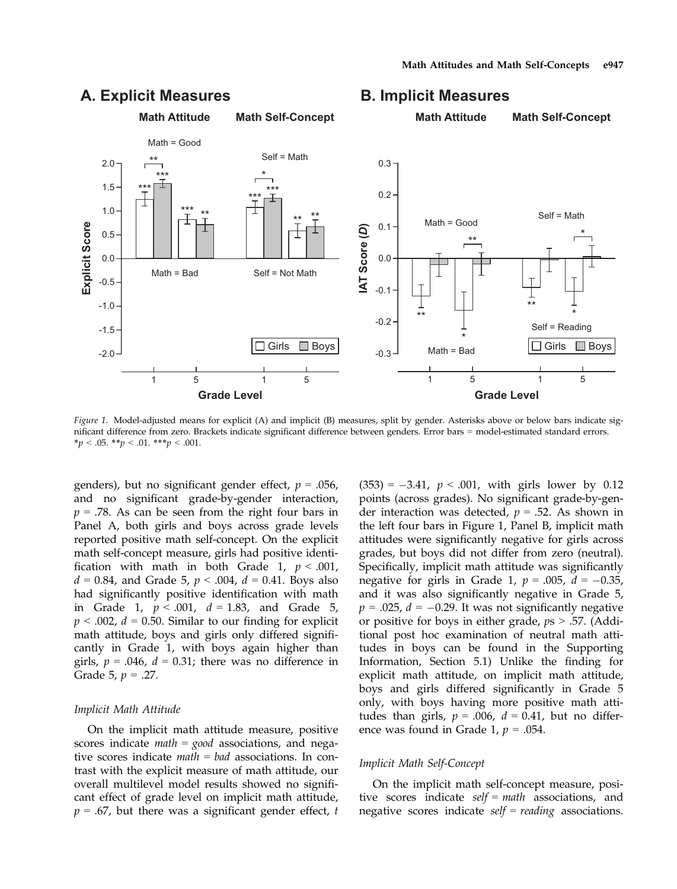

# A. Explicit Measures **B. Implicit Measures**

Figure 1. Model-adjusted means for explicit (A) and implicit (B) measures, split by gender. Asterisks above or below bars indicate significant difference from zero. Brackets indicate significant difference between genders. Error bars = model-estimated standard errors. \*p < .05. \*\*p < .01. \*\*\*p < .001.

genders), but no significant gender effect,  $p = .056$ , and no significant grade-by-gender interaction,  $p = .78$ . As can be seen from the right four bars in Panel A, both girls and boys across grade levels reported positive math self-concept. On the explicit math self-concept measure, girls had positive identification with math in both Grade 1,  $p < .001$ ,  $d = 0.84$ , and Grade 5,  $p < .004$ ,  $d = 0.41$ . Boys also had significantly positive identification with math in Grade 1,  $p < .001$ ,  $d = 1.83$ , and Grade 5,  $p < .002$ ,  $d = 0.50$ . Similar to our finding for explicit math attitude, boys and girls only differed significantly in Grade 1, with boys again higher than girls,  $p = .046$ ,  $d = 0.31$ ; there was no difference in Grade 5,  $p = .27$ .

#### Implicit Math Attitude

On the implicit math attitude measure, positive scores indicate *math* = *good* associations, and negative scores indicate  $math = bad$  associations. In contrast with the explicit measure of math attitude, our overall multilevel model results showed no significant effect of grade level on implicit math attitude,  $p = .67$ , but there was a significant gender effect, t

 $(353) = -3.41$ ,  $p < .001$ , with girls lower by 0.12 points (across grades). No significant grade-by-gender interaction was detected,  $p = .52$ . As shown in the left four bars in Figure 1, Panel B, implicit math attitudes were significantly negative for girls across grades, but boys did not differ from zero (neutral). Specifically, implicit math attitude was significantly negative for girls in Grade 1,  $p = .005$ ,  $d = -0.35$ , and it was also significantly negative in Grade 5,  $p = .025$ ,  $d = -0.29$ . It was not significantly negative or positive for boys in either grade,  $ps > .57$ . (Additional post hoc examination of neutral math attitudes in boys can be found in the Supporting Information, Section 5.1) Unlike the finding for explicit math attitude, on implicit math attitude, boys and girls differed significantly in Grade 5 only, with boys having more positive math attitudes than girls,  $p = .006$ ,  $d = 0.41$ , but no difference was found in Grade 1,  $p = .054$ .

### Implicit Math Self-Concept

On the implicit math self-concept measure, positive scores indicate  $self = math$  associations, and negative scores indicate  $self = reading$  associations.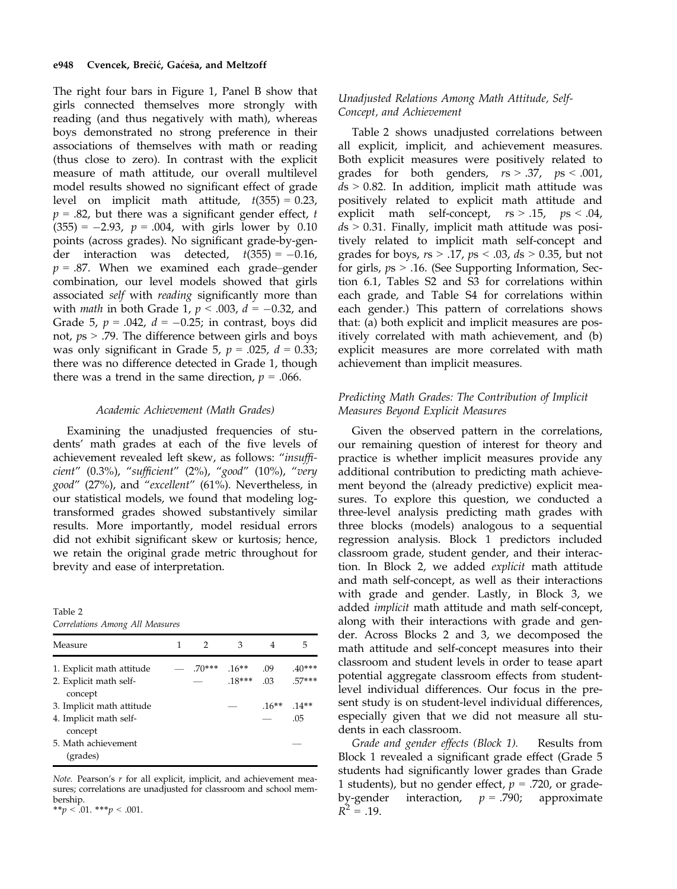The right four bars in Figure 1, Panel B show that girls connected themselves more strongly with reading (and thus negatively with math), whereas boys demonstrated no strong preference in their associations of themselves with math or reading (thus close to zero). In contrast with the explicit measure of math attitude, our overall multilevel model results showed no significant effect of grade level on implicit math attitude,  $t(355) = 0.23$ ,  $p = .82$ , but there was a significant gender effect, t  $(355) = -2.93$ ,  $p = .004$ , with girls lower by 0.10 points (across grades). No significant grade-by-gender interaction was detected,  $t(355) = -0.16$ ,  $p = .87$ . When we examined each grade–gender combination, our level models showed that girls associated self with reading significantly more than with *math* in both Grade 1,  $p < .003$ ,  $d = -0.32$ , and Grade 5,  $p = .042$ ,  $d = -0.25$ ; in contrast, boys did not,  $ps$  > .79. The difference between girls and boys was only significant in Grade 5,  $p = .025$ ,  $d = 0.33$ ; there was no difference detected in Grade 1, though there was a trend in the same direction,  $p = .066$ .

#### Academic Achievement (Math Grades)

Examining the unadjusted frequencies of students' math grades at each of the five levels of achievement revealed left skew, as follows: "insufficient" (0.3%), "sufficient" (2%), "good" (10%), "very good" (27%), and "excellent" (61%). Nevertheless, in our statistical models, we found that modeling logtransformed grades showed substantively similar results. More importantly, model residual errors did not exhibit significant skew or kurtosis; hence, we retain the original grade metric throughout for brevity and ease of interpretation.

Table 2 Correlations Among All Measures

| Measure                           | 1 | $\mathcal{P}$ | 3           | 4       | 5        |
|-----------------------------------|---|---------------|-------------|---------|----------|
| 1. Explicit math attitude         |   | $70***$ 16**  |             | .09     | $.40***$ |
| 2. Explicit math self-<br>concept |   |               | $.18***$ 03 |         | $.57***$ |
| 3. Implicit math attitude         |   |               |             | $16***$ | $14**$   |
| 4. Implicit math self-<br>concept |   |               |             |         | .05      |
| 5. Math achievement<br>(grades)   |   |               |             |         |          |

Note. Pearson's r for all explicit, implicit, and achievement measures; correlations are unadjusted for classroom and school membership. \*\*p < .01. \*\*\*p < .001.

# Unadjusted Relations Among Math Attitude, Self-Concept, and Achievement

Table 2 shows unadjusted correlations between all explicit, implicit, and achievement measures. Both explicit measures were positively related to grades for both genders,  $rs > .37$ ,  $ps < .001$ ,  $ds > 0.82$ . In addition, implicit math attitude was positively related to explicit math attitude and explicit math self-concept,  $rs > .15$ ,  $ps < .04$ ,  $ds > 0.31$ . Finally, implicit math attitude was positively related to implicit math self-concept and grades for boys,  $rs > .17$ ,  $ps < .03$ ,  $ds > 0.35$ , but not for girls,  $ps > 0.16$ . (See Supporting Information, Section 6.1, Tables S2 and S3 for correlations within each grade, and Table S4 for correlations within each gender.) This pattern of correlations shows that: (a) both explicit and implicit measures are positively correlated with math achievement, and (b) explicit measures are more correlated with math achievement than implicit measures.

# Predicting Math Grades: The Contribution of Implicit Measures Beyond Explicit Measures

Given the observed pattern in the correlations, our remaining question of interest for theory and practice is whether implicit measures provide any additional contribution to predicting math achievement beyond the (already predictive) explicit measures. To explore this question, we conducted a three-level analysis predicting math grades with three blocks (models) analogous to a sequential regression analysis. Block 1 predictors included classroom grade, student gender, and their interaction. In Block 2, we added explicit math attitude and math self-concept, as well as their interactions with grade and gender. Lastly, in Block 3, we added implicit math attitude and math self-concept, along with their interactions with grade and gender. Across Blocks 2 and 3, we decomposed the math attitude and self-concept measures into their classroom and student levels in order to tease apart potential aggregate classroom effects from studentlevel individual differences. Our focus in the present study is on student-level individual differences, especially given that we did not measure all students in each classroom.

Grade and gender effects (Block 1). Results from Block 1 revealed a significant grade effect (Grade 5 students had significantly lower grades than Grade 1 students), but no gender effect,  $p = .720$ , or gradeby-gender interaction,  $p = .790$ ; approximate  $R^2 = .19$ .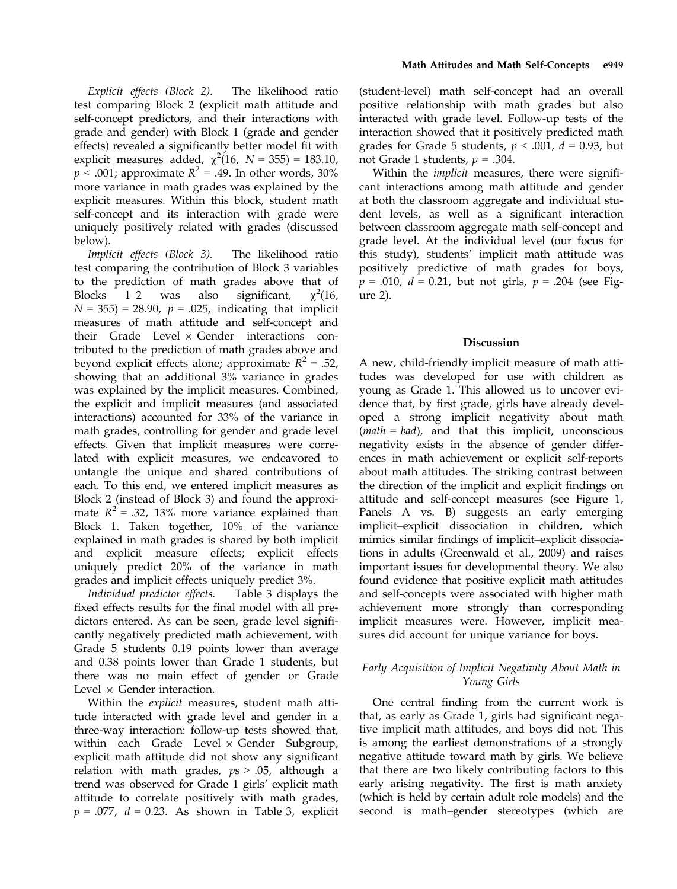Explicit effects (Block 2). The likelihood ratio test comparing Block 2 (explicit math attitude and self-concept predictors, and their interactions with grade and gender) with Block 1 (grade and gender effects) revealed a significantly better model fit with explicit measures added,  $\chi^2(16, N = 355) = 183.10$ ,  $p < .001$ ; approximate  $R^2 = .49$ . In other words, 30% more variance in math grades was explained by the explicit measures. Within this block, student math self-concept and its interaction with grade were uniquely positively related with grades (discussed below).

Implicit effects (Block 3). The likelihood ratio test comparing the contribution of Block 3 variables to the prediction of math grades above that of Blocks  $1-2$  was also significant,  $\gamma^2(16,$  $N = 355$ ) = 28.90,  $p = .025$ , indicating that implicit measures of math attitude and self-concept and their Grade Level  $\times$  Gender interactions contributed to the prediction of math grades above and beyond explicit effects alone; approximate  $R^2 = .52$ , showing that an additional 3% variance in grades was explained by the implicit measures. Combined, the explicit and implicit measures (and associated interactions) accounted for 33% of the variance in math grades, controlling for gender and grade level effects. Given that implicit measures were correlated with explicit measures, we endeavored to untangle the unique and shared contributions of each. To this end, we entered implicit measures as Block 2 (instead of Block 3) and found the approximate  $R^2 = .32$ , 13% more variance explained than Block 1. Taken together, 10% of the variance explained in math grades is shared by both implicit and explicit measure effects; explicit effects uniquely predict 20% of the variance in math grades and implicit effects uniquely predict 3%.

Individual predictor effects. Table 3 displays the fixed effects results for the final model with all predictors entered. As can be seen, grade level significantly negatively predicted math achievement, with Grade 5 students 0.19 points lower than average and 0.38 points lower than Grade 1 students, but there was no main effect of gender or Grade Level  $\times$  Gender interaction.

Within the explicit measures, student math attitude interacted with grade level and gender in a three-way interaction: follow-up tests showed that, within each Grade Level  $\times$  Gender Subgroup, explicit math attitude did not show any significant relation with math grades,  $ps > .05$ , although a trend was observed for Grade 1 girls' explicit math attitude to correlate positively with math grades,  $p = .077$ ,  $d = 0.23$ . As shown in Table 3, explicit (student-level) math self-concept had an overall positive relationship with math grades but also interacted with grade level. Follow-up tests of the interaction showed that it positively predicted math grades for Grade 5 students,  $p < .001$ ,  $d = 0.93$ , but not Grade 1 students,  $p = .304$ .

Within the *implicit* measures, there were significant interactions among math attitude and gender at both the classroom aggregate and individual student levels, as well as a significant interaction between classroom aggregate math self-concept and grade level. At the individual level (our focus for this study), students' implicit math attitude was positively predictive of math grades for boys,  $p = .010$ ,  $d = 0.21$ , but not girls,  $p = .204$  (see Figure 2).

#### Discussion

A new, child-friendly implicit measure of math attitudes was developed for use with children as young as Grade 1. This allowed us to uncover evidence that, by first grade, girls have already developed a strong implicit negativity about math  $(math = bad)$ , and that this implicit, unconscious negativity exists in the absence of gender differences in math achievement or explicit self-reports about math attitudes. The striking contrast between the direction of the implicit and explicit findings on attitude and self-concept measures (see Figure 1, Panels A vs. B) suggests an early emerging implicit–explicit dissociation in children, which mimics similar findings of implicit–explicit dissociations in adults (Greenwald et al., 2009) and raises important issues for developmental theory. We also found evidence that positive explicit math attitudes and self-concepts were associated with higher math achievement more strongly than corresponding implicit measures were. However, implicit measures did account for unique variance for boys.

# Early Acquisition of Implicit Negativity About Math in Young Girls

One central finding from the current work is that, as early as Grade 1, girls had significant negative implicit math attitudes, and boys did not. This is among the earliest demonstrations of a strongly negative attitude toward math by girls. We believe that there are two likely contributing factors to this early arising negativity. The first is math anxiety (which is held by certain adult role models) and the second is math–gender stereotypes (which are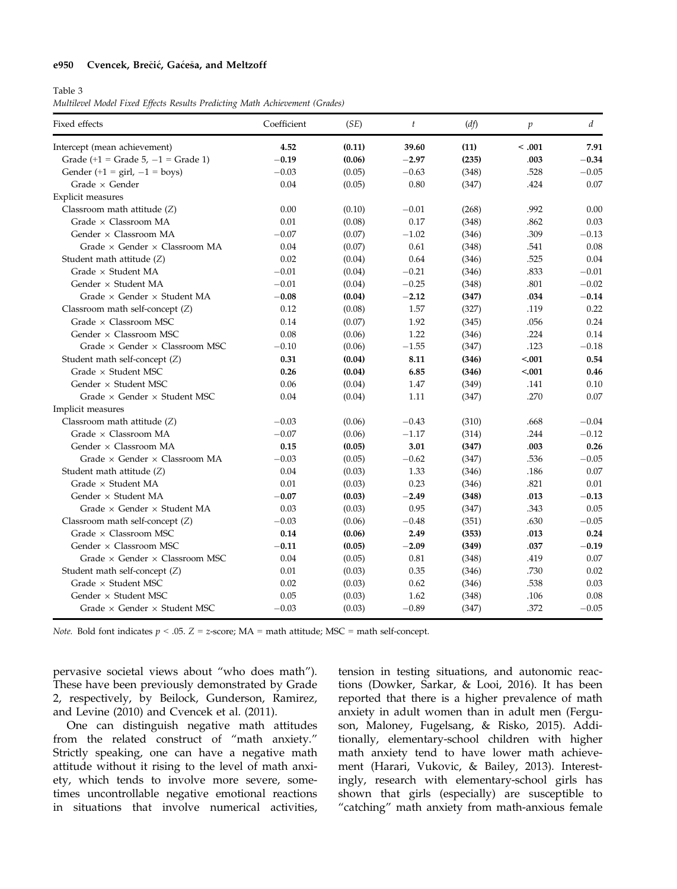#### e950 Cvencek, Brečić, Gaćeša, and Meltzoff

#### Table 3

Multilevel Model Fixed Effects Results Predicting Math Achievement (Grades)

| Fixed effects                                  | Coefficient | (SE)   | $\ddot{t}$ | (df)  | $\mathfrak p$ | d       |
|------------------------------------------------|-------------|--------|------------|-------|---------------|---------|
| Intercept (mean achievement)                   | 4.52        | (0.11) | 39.60      | (11)  | < .001        | 7.91    |
| Grade $(+1)$ = Grade 5, -1 = Grade 1)          | $-0.19$     | (0.06) | $-2.97$    | (235) | .003          | $-0.34$ |
| Gender (+1 = $\text{girl}, -1 = \text{boys}$ ) | $-0.03$     | (0.05) | $-0.63$    | (348) | .528          | $-0.05$ |
| Grade $\times$ Gender                          | 0.04        | (0.05) | 0.80       | (347) | .424          | 0.07    |
| Explicit measures                              |             |        |            |       |               |         |
| Classroom math attitude (Z)                    | 0.00        | (0.10) | $-0.01$    | (268) | .992          | 0.00    |
| Grade $\times$ Classroom MA                    | 0.01        | (0.08) | 0.17       | (348) | .862          | 0.03    |
| Gender × Classroom MA                          | $-0.07$     | (0.07) | $-1.02$    | (346) | .309          | $-0.13$ |
| Grade × Gender × Classroom MA                  | 0.04        | (0.07) | 0.61       | (348) | .541          | 0.08    |
| Student math attitude (Z)                      | 0.02        | (0.04) | 0.64       | (346) | .525          | 0.04    |
| Grade × Student MA                             | $-0.01$     | (0.04) | $-0.21$    | (346) | .833          | $-0.01$ |
| Gender $\times$ Student MA                     | $-0.01$     | (0.04) | $-0.25$    | (348) | .801          | $-0.02$ |
| Grade $\times$ Gender $\times$ Student MA      | $-0.08$     | (0.04) | $-2.12$    | (347) | .034          | $-0.14$ |
| Classroom math self-concept $(Z)$              | 0.12        | (0.08) | 1.57       | (327) | .119          | 0.22    |
| Grade × Classroom MSC                          | 0.14        | (0.07) | 1.92       | (345) | .056          | 0.24    |
| Gender $\times$ Classroom MSC                  | 0.08        | (0.06) | 1.22       | (346) | .224          | 0.14    |
| Grade × Gender × Classroom MSC                 | $-0.10$     | (0.06) | $-1.55$    | (347) | .123          | $-0.18$ |
| Student math self-concept (Z)                  | 0.31        | (0.04) | 8.11       | (346) | < .001        | 0.54    |
| Grade $\times$ Student MSC                     | 0.26        | (0.04) | 6.85       | (346) | < .001        | 0.46    |
| Gender $\times$ Student MSC                    | 0.06        | (0.04) | 1.47       | (349) | .141          | 0.10    |
| Grade $\times$ Gender $\times$ Student MSC     | 0.04        | (0.04) | 1.11       | (347) | .270          | 0.07    |
| Implicit measures                              |             |        |            |       |               |         |
| Classroom math attitude (Z)                    | $-0.03$     | (0.06) | $-0.43$    | (310) | .668          | $-0.04$ |
| Grade × Classroom MA                           | $-0.07$     | (0.06) | $-1.17$    | (314) | .244          | $-0.12$ |
| Gender × Classroom MA                          | 0.15        | (0.05) | 3.01       | (347) | .003          | 0.26    |
| Grade $\times$ Gender $\times$ Classroom MA    | $-0.03$     | (0.05) | $-0.62$    | (347) | .536          | $-0.05$ |
| Student math attitude (Z)                      | 0.04        | (0.03) | 1.33       | (346) | .186          | 0.07    |
| Grade × Student MA                             | 0.01        | (0.03) | 0.23       | (346) | .821          | 0.01    |
| Gender $\times$ Student MA                     | $-0.07$     | (0.03) | $-2.49$    | (348) | .013          | $-0.13$ |
| Grade × Gender × Student MA                    | 0.03        | (0.03) | 0.95       | (347) | .343          | 0.05    |
| Classroom math self-concept (Z)                | $-0.03$     | (0.06) | $-0.48$    | (351) | .630          | $-0.05$ |
| Grade × Classroom MSC                          | 0.14        | (0.06) | 2.49       | (353) | .013          | 0.24    |
| Gender × Classroom MSC                         | $-0.11$     | (0.05) | $-2.09$    | (349) | .037          | $-0.19$ |
| Grade $\times$ Gender $\times$ Classroom MSC   | 0.04        | (0.05) | 0.81       | (348) | .419          | 0.07    |
| Student math self-concept (Z)                  | 0.01        | (0.03) | 0.35       | (346) | .730          | 0.02    |
| Grade $\times$ Student MSC                     | 0.02        | (0.03) | 0.62       | (346) | .538          | 0.03    |
| Gender $\times$ Student MSC                    | 0.05        | (0.03) | 1.62       | (348) | .106          | 0.08    |
| Grade $\times$ Gender $\times$ Student MSC     | $-0.03$     | (0.03) | $-0.89$    | (347) | .372          | $-0.05$ |

*Note.* Bold font indicates  $p < .05$ .  $Z = z$ -score;  $MA =$  math attitude; MSC = math self-concept.

pervasive societal views about "who does math"). These have been previously demonstrated by Grade 2, respectively, by Beilock, Gunderson, Ramirez, and Levine (2010) and Cvencek et al. (2011).

One can distinguish negative math attitudes from the related construct of "math anxiety." Strictly speaking, one can have a negative math attitude without it rising to the level of math anxiety, which tends to involve more severe, sometimes uncontrollable negative emotional reactions in situations that involve numerical activities,

tension in testing situations, and autonomic reactions (Dowker, Sarkar, & Looi, 2016). It has been reported that there is a higher prevalence of math anxiety in adult women than in adult men (Ferguson, Maloney, Fugelsang, & Risko, 2015). Additionally, elementary-school children with higher math anxiety tend to have lower math achievement (Harari, Vukovic, & Bailey, 2013). Interestingly, research with elementary-school girls has shown that girls (especially) are susceptible to "catching" math anxiety from math-anxious female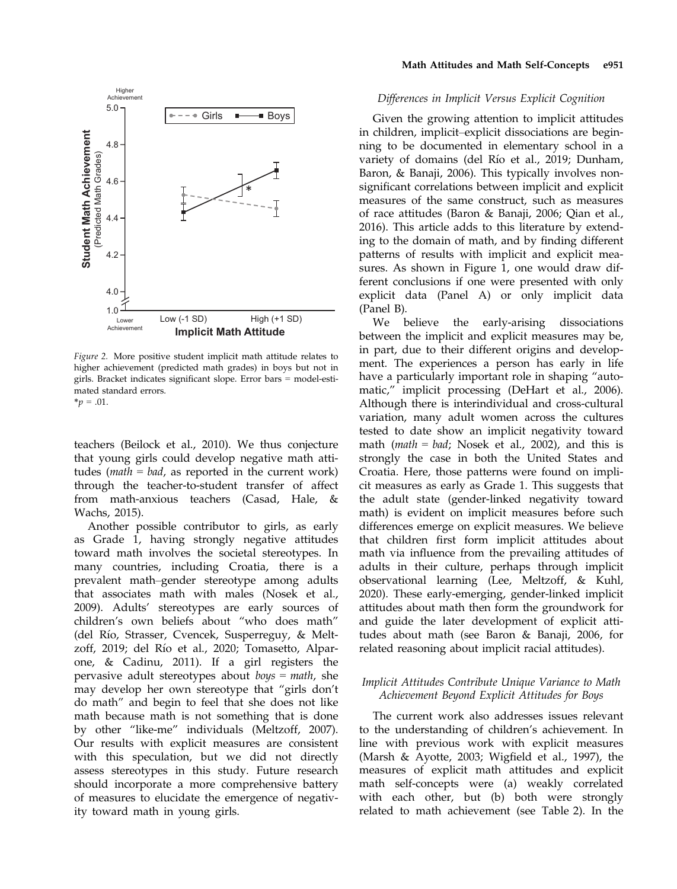

Figure 2. More positive student implicit math attitude relates to higher achievement (predicted math grades) in boys but not in girls. Bracket indicates significant slope. Error bars = model-estimated standard errors.  $*_{p} = .01$ .

teachers (Beilock et al., 2010). We thus conjecture that young girls could develop negative math attitudes ( $math = bad$ , as reported in the current work) through the teacher-to-student transfer of affect from math-anxious teachers (Casad, Hale, & Wachs, 2015).

Another possible contributor to girls, as early as Grade 1, having strongly negative attitudes toward math involves the societal stereotypes. In many countries, including Croatia, there is a prevalent math–gender stereotype among adults that associates math with males (Nosek et al., 2009). Adults' stereotypes are early sources of children's own beliefs about "who does math" (del Río, Strasser, Cvencek, Susperreguy, & Meltzoff, 2019; del Rıo et al., 2020; Tomasetto, Alparone, & Cadinu, 2011). If a girl registers the pervasive adult stereotypes about  $boys = math$ , she may develop her own stereotype that "girls don't do math" and begin to feel that she does not like math because math is not something that is done by other "like-me" individuals (Meltzoff, 2007). Our results with explicit measures are consistent with this speculation, but we did not directly assess stereotypes in this study. Future research should incorporate a more comprehensive battery of measures to elucidate the emergence of negativity toward math in young girls.

#### Math Attitudes and Math Self-Concepts e951

#### Differences in Implicit Versus Explicit Cognition

Given the growing attention to implicit attitudes in children, implicit–explicit dissociations are beginning to be documented in elementary school in a variety of domains (del Río et al., 2019; Dunham, Baron, & Banaji, 2006). This typically involves nonsignificant correlations between implicit and explicit measures of the same construct, such as measures of race attitudes (Baron & Banaji, 2006; Qian et al., 2016). This article adds to this literature by extending to the domain of math, and by finding different patterns of results with implicit and explicit measures. As shown in Figure 1, one would draw different conclusions if one were presented with only explicit data (Panel A) or only implicit data (Panel B).

We believe the early-arising dissociations between the implicit and explicit measures may be, in part, due to their different origins and development. The experiences a person has early in life have a particularly important role in shaping "automatic," implicit processing (DeHart et al., 2006). Although there is interindividual and cross-cultural variation, many adult women across the cultures tested to date show an implicit negativity toward math (math = bad; Nosek et al., 2002), and this is strongly the case in both the United States and Croatia. Here, those patterns were found on implicit measures as early as Grade 1. This suggests that the adult state (gender-linked negativity toward math) is evident on implicit measures before such differences emerge on explicit measures. We believe that children first form implicit attitudes about math via influence from the prevailing attitudes of adults in their culture, perhaps through implicit observational learning (Lee, Meltzoff, & Kuhl, 2020). These early-emerging, gender-linked implicit attitudes about math then form the groundwork for and guide the later development of explicit attitudes about math (see Baron & Banaji, 2006, for related reasoning about implicit racial attitudes).

### Implicit Attitudes Contribute Unique Variance to Math Achievement Beyond Explicit Attitudes for Boys

The current work also addresses issues relevant to the understanding of children's achievement. In line with previous work with explicit measures (Marsh & Ayotte, 2003; Wigfield et al., 1997), the measures of explicit math attitudes and explicit math self-concepts were (a) weakly correlated with each other, but (b) both were strongly related to math achievement (see Table 2). In the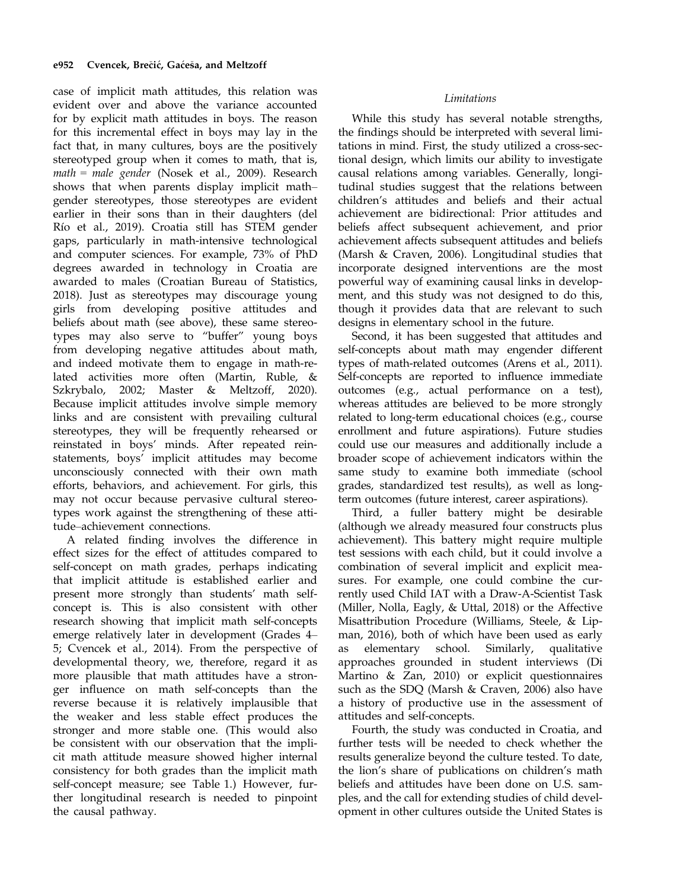case of implicit math attitudes, this relation was evident over and above the variance accounted for by explicit math attitudes in boys. The reason for this incremental effect in boys may lay in the fact that, in many cultures, boys are the positively stereotyped group when it comes to math, that is, math = male gender (Nosek et al., 2009). Research shows that when parents display implicit math– gender stereotypes, those stereotypes are evident earlier in their sons than in their daughters (del Rıo et al., 2019). Croatia still has STEM gender gaps, particularly in math-intensive technological and computer sciences. For example, 73% of PhD degrees awarded in technology in Croatia are awarded to males (Croatian Bureau of Statistics, 2018). Just as stereotypes may discourage young girls from developing positive attitudes and beliefs about math (see above), these same stereotypes may also serve to "buffer" young boys from developing negative attitudes about math, and indeed motivate them to engage in math-related activities more often (Martin, Ruble, & Szkrybalo, 2002; Master & Meltzoff, 2020). Because implicit attitudes involve simple memory links and are consistent with prevailing cultural stereotypes, they will be frequently rehearsed or reinstated in boys' minds. After repeated reinstatements, boys' implicit attitudes may become unconsciously connected with their own math efforts, behaviors, and achievement. For girls, this may not occur because pervasive cultural stereotypes work against the strengthening of these attitude–achievement connections.

A related finding involves the difference in effect sizes for the effect of attitudes compared to self-concept on math grades, perhaps indicating that implicit attitude is established earlier and present more strongly than students' math selfconcept is. This is also consistent with other research showing that implicit math self-concepts emerge relatively later in development (Grades 4– 5; Cvencek et al., 2014). From the perspective of developmental theory, we, therefore, regard it as more plausible that math attitudes have a stronger influence on math self-concepts than the reverse because it is relatively implausible that the weaker and less stable effect produces the stronger and more stable one. (This would also be consistent with our observation that the implicit math attitude measure showed higher internal consistency for both grades than the implicit math self-concept measure; see Table 1.) However, further longitudinal research is needed to pinpoint the causal pathway.

# Limitations

While this study has several notable strengths, the findings should be interpreted with several limitations in mind. First, the study utilized a cross-sectional design, which limits our ability to investigate causal relations among variables. Generally, longitudinal studies suggest that the relations between children's attitudes and beliefs and their actual achievement are bidirectional: Prior attitudes and beliefs affect subsequent achievement, and prior achievement affects subsequent attitudes and beliefs (Marsh & Craven, 2006). Longitudinal studies that incorporate designed interventions are the most powerful way of examining causal links in development, and this study was not designed to do this, though it provides data that are relevant to such designs in elementary school in the future.

Second, it has been suggested that attitudes and self-concepts about math may engender different types of math-related outcomes (Arens et al., 2011). Self-concepts are reported to influence immediate outcomes (e.g., actual performance on a test), whereas attitudes are believed to be more strongly related to long-term educational choices (e.g., course enrollment and future aspirations). Future studies could use our measures and additionally include a broader scope of achievement indicators within the same study to examine both immediate (school grades, standardized test results), as well as longterm outcomes (future interest, career aspirations).

Third, a fuller battery might be desirable (although we already measured four constructs plus achievement). This battery might require multiple test sessions with each child, but it could involve a combination of several implicit and explicit measures. For example, one could combine the currently used Child IAT with a Draw-A-Scientist Task (Miller, Nolla, Eagly, & Uttal, 2018) or the Affective Misattribution Procedure (Williams, Steele, & Lipman, 2016), both of which have been used as early as elementary school. Similarly, qualitative approaches grounded in student interviews (Di Martino & Zan, 2010) or explicit questionnaires such as the SDQ (Marsh & Craven, 2006) also have a history of productive use in the assessment of attitudes and self-concepts.

Fourth, the study was conducted in Croatia, and further tests will be needed to check whether the results generalize beyond the culture tested. To date, the lion's share of publications on children's math beliefs and attitudes have been done on U.S. samples, and the call for extending studies of child development in other cultures outside the United States is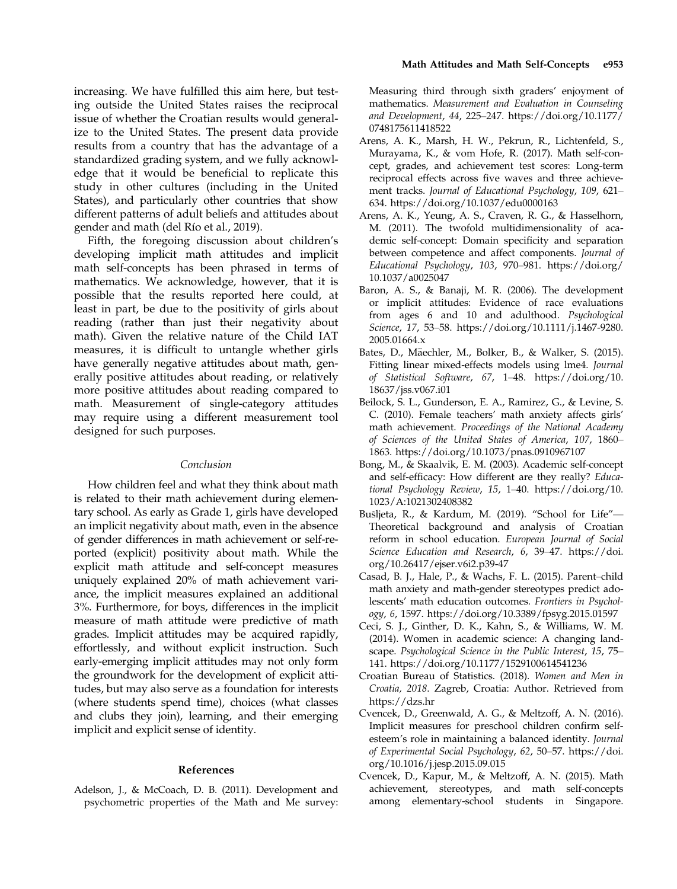increasing. We have fulfilled this aim here, but testing outside the United States raises the reciprocal issue of whether the Croatian results would generalize to the United States. The present data provide results from a country that has the advantage of a standardized grading system, and we fully acknowledge that it would be beneficial to replicate this study in other cultures (including in the United States), and particularly other countries that show different patterns of adult beliefs and attitudes about gender and math (del Rıo et al., 2019).

Fifth, the foregoing discussion about children's developing implicit math attitudes and implicit math self-concepts has been phrased in terms of mathematics. We acknowledge, however, that it is possible that the results reported here could, at least in part, be due to the positivity of girls about reading (rather than just their negativity about math). Given the relative nature of the Child IAT measures, it is difficult to untangle whether girls have generally negative attitudes about math, generally positive attitudes about reading, or relatively more positive attitudes about reading compared to math. Measurement of single-category attitudes may require using a different measurement tool designed for such purposes.

#### Conclusion

How children feel and what they think about math is related to their math achievement during elementary school. As early as Grade 1, girls have developed an implicit negativity about math, even in the absence of gender differences in math achievement or self-reported (explicit) positivity about math. While the explicit math attitude and self-concept measures uniquely explained 20% of math achievement variance, the implicit measures explained an additional 3%. Furthermore, for boys, differences in the implicit measure of math attitude were predictive of math grades. Implicit attitudes may be acquired rapidly, effortlessly, and without explicit instruction. Such early-emerging implicit attitudes may not only form the groundwork for the development of explicit attitudes, but may also serve as a foundation for interests (where students spend time), choices (what classes and clubs they join), learning, and their emerging implicit and explicit sense of identity.

### References

Adelson, J., & McCoach, D. B. (2011). Development and psychometric properties of the Math and Me survey:

Measuring third through sixth graders' enjoyment of mathematics. Measurement and Evaluation in Counseling and Development, 44, 225–247. [https://doi.org/10.1177/](https://doi.org/10.1177/0748175611418522) [0748175611418522](https://doi.org/10.1177/0748175611418522)

- Arens, A. K., Marsh, H. W., Pekrun, R., Lichtenfeld, S., Murayama, K., & vom Hofe, R. (2017). Math self-concept, grades, and achievement test scores: Long-term reciprocal effects across five waves and three achievement tracks. Journal of Educational Psychology, 109, 621– 634.<https://doi.org/10.1037/edu0000163>
- Arens, A. K., Yeung, A. S., Craven, R. G., & Hasselhorn, M. (2011). The twofold multidimensionality of academic self-concept: Domain specificity and separation between competence and affect components. Journal of Educational Psychology, 103, 970–981. [https://doi.org/](https://doi.org/10.1037/a0025047) [10.1037/a0025047](https://doi.org/10.1037/a0025047)
- Baron, A. S., & Banaji, M. R. (2006). The development or implicit attitudes: Evidence of race evaluations from ages 6 and 10 and adulthood. Psychological Science, 17, 53–58. [https://doi.org/10.1111/j.1467-9280.](https://doi.org/10.1111/j.1467-9280.2005.01664.x) [2005.01664.x](https://doi.org/10.1111/j.1467-9280.2005.01664.x)
- Bates, D., Mäechler, M., Bolker, B., & Walker, S. (2015). Fitting linear mixed-effects models using lme4. Journal of Statistical Software, 67, 1–48. [https://doi.org/10.](https://doi.org/10.18637/jss.v067.i01) [18637/jss.v067.i01](https://doi.org/10.18637/jss.v067.i01)
- Beilock, S. L., Gunderson, E. A., Ramirez, G., & Levine, S. C. (2010). Female teachers' math anxiety affects girls' math achievement. Proceedings of the National Academy of Sciences of the United States of America, 107, 1860– 1863.<https://doi.org/10.1073/pnas.0910967107>
- Bong, M., & Skaalvik, E. M. (2003). Academic self-concept and self-efficacy: How different are they really? Educational Psychology Review, 15, 1–40. [https://doi.org/10.](https://doi.org/10.1023/A:1021302408382) [1023/A:1021302408382](https://doi.org/10.1023/A:1021302408382)
- Busljeta, R., & Kardum, M. (2019). "School for Life"— Theoretical background and analysis of Croatian reform in school education. European Journal of Social Science Education and Research, 6, 39–47. [https://doi.](https://doi.org/10.26417/ejser.v6i2.p39-47) [org/10.26417/ejser.v6i2.p39-47](https://doi.org/10.26417/ejser.v6i2.p39-47)
- Casad, B. J., Hale, P., & Wachs, F. L. (2015). Parent–child math anxiety and math-gender stereotypes predict adolescents' math education outcomes. Frontiers in Psychology, 6, 1597.<https://doi.org/10.3389/fpsyg.2015.01597>
- Ceci, S. J., Ginther, D. K., Kahn, S., & Williams, W. M. (2014). Women in academic science: A changing landscape. Psychological Science in the Public Interest, 15, 75– 141.<https://doi.org/10.1177/1529100614541236>
- Croatian Bureau of Statistics. (2018). Women and Men in Croatia, 2018. Zagreb, Croatia: Author. Retrieved from <https://dzs.hr>
- Cvencek, D., Greenwald, A. G., & Meltzoff, A. N. (2016). Implicit measures for preschool children confirm selfesteem's role in maintaining a balanced identity. Journal of Experimental Social Psychology, 62, 50–57. [https://doi.](https://doi.org/10.1016/j.jesp.2015.09.015) [org/10.1016/j.jesp.2015.09.015](https://doi.org/10.1016/j.jesp.2015.09.015)
- Cvencek, D., Kapur, M., & Meltzoff, A. N. (2015). Math achievement, stereotypes, and math self-concepts among elementary-school students in Singapore.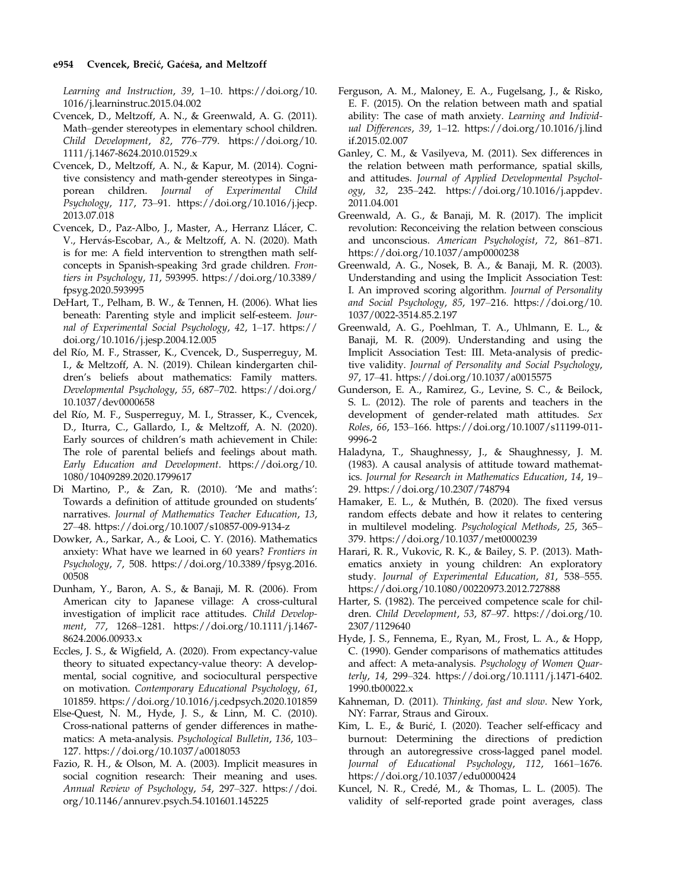Learning and Instruction, 39, 1–10. [https://doi.org/10.](https://doi.org/10.1016/j.learninstruc.2015.04.002) [1016/j.learninstruc.2015.04.002](https://doi.org/10.1016/j.learninstruc.2015.04.002)

- Cvencek, D., Meltzoff, A. N., & Greenwald, A. G. (2011). Math–gender stereotypes in elementary school children. Child Development, 82, 776–779. [https://doi.org/10.](https://doi.org/10.1111/j.1467-8624.2010.01529.x) [1111/j.1467-8624.2010.01529.x](https://doi.org/10.1111/j.1467-8624.2010.01529.x)
- Cvencek, D., Meltzoff, A. N., & Kapur, M. (2014). Cognitive consistency and math-gender stereotypes in Singaporean children. Journal of Experimental Child Psychology, 117, 73–91. [https://doi.org/10.1016/j.jecp.](https://doi.org/10.1016/j.jecp.2013.07.018) [2013.07.018](https://doi.org/10.1016/j.jecp.2013.07.018)
- Cvencek, D., Paz-Albo, J., Master, A., Herranz Llácer, C. V., Hervás-Escobar, A., & Meltzoff, A. N. (2020). Math is for me: A field intervention to strengthen math selfconcepts in Spanish-speaking 3rd grade children. Frontiers in Psychology, 11, 593995. [https://doi.org/10.3389/](https://doi.org/10.3389/fpsyg.2020.593995) [fpsyg.2020.593995](https://doi.org/10.3389/fpsyg.2020.593995)
- DeHart, T., Pelham, B. W., & Tennen, H. (2006). What lies beneath: Parenting style and implicit self-esteem. Journal of Experimental Social Psychology, 42, 1–17. [https://](https://doi.org/10.1016/j.jesp.2004.12.005) [doi.org/10.1016/j.jesp.2004.12.005](https://doi.org/10.1016/j.jesp.2004.12.005)
- del Río, M. F., Strasser, K., Cvencek, D., Susperreguy, M. I., & Meltzoff, A. N. (2019). Chilean kindergarten children's beliefs about mathematics: Family matters. Developmental Psychology, 55, 687–702. [https://doi.org/](https://doi.org/10.1037/dev0000658) [10.1037/dev0000658](https://doi.org/10.1037/dev0000658)
- del Río, M. F., Susperreguy, M. I., Strasser, K., Cvencek, D., Iturra, C., Gallardo, I., & Meltzoff, A. N. (2020). Early sources of children's math achievement in Chile: The role of parental beliefs and feelings about math. Early Education and Development. [https://doi.org/10.](https://doi.org/10.1080/10409289.2020.1799617) [1080/10409289.2020.1799617](https://doi.org/10.1080/10409289.2020.1799617)
- Di Martino, P., & Zan, R. (2010). 'Me and maths': Towards a definition of attitude grounded on students' narratives. Journal of Mathematics Teacher Education, 13, 27–48.<https://doi.org/10.1007/s10857-009-9134-z>
- Dowker, A., Sarkar, A., & Looi, C. Y. (2016). Mathematics anxiety: What have we learned in 60 years? Frontiers in Psychology, 7, 508. [https://doi.org/10.3389/fpsyg.2016.](https://doi.org/10.3389/fpsyg.2016.00508) [00508](https://doi.org/10.3389/fpsyg.2016.00508)
- Dunham, Y., Baron, A. S., & Banaji, M. R. (2006). From American city to Japanese village: A cross-cultural investigation of implicit race attitudes. Child Development, 77, 1268–1281. [https://doi.org/10.1111/j.1467-](https://doi.org/10.1111/j.1467-8624.2006.00933.x) [8624.2006.00933.x](https://doi.org/10.1111/j.1467-8624.2006.00933.x)
- Eccles, J. S., & Wigfield, A. (2020). From expectancy-value theory to situated expectancy-value theory: A developmental, social cognitive, and sociocultural perspective on motivation. Contemporary Educational Psychology, 61, 101859.<https://doi.org/10.1016/j.cedpsych.2020.101859>
- Else-Quest, N. M., Hyde, J. S., & Linn, M. C. (2010). Cross-national patterns of gender differences in mathematics: A meta-analysis. Psychological Bulletin, 136, 103– 127.<https://doi.org/10.1037/a0018053>
- Fazio, R. H., & Olson, M. A. (2003). Implicit measures in social cognition research: Their meaning and uses. Annual Review of Psychology, 54, 297–327. [https://doi.](https://doi.org/10.1146/annurev.psych.54.101601.145225) [org/10.1146/annurev.psych.54.101601.145225](https://doi.org/10.1146/annurev.psych.54.101601.145225)
- Ferguson, A. M., Maloney, E. A., Fugelsang, J., & Risko, E. F. (2015). On the relation between math and spatial ability: The case of math anxiety. Learning and Individual Differences, 39, 1–12. [https://doi.org/10.1016/j.lind](https://doi.org/10.1016/j.lindif.2015.02.007) [if.2015.02.007](https://doi.org/10.1016/j.lindif.2015.02.007)
- Ganley, C. M., & Vasilyeva, M. (2011). Sex differences in the relation between math performance, spatial skills, and attitudes. Journal of Applied Developmental Psychology, 32, 235–242. [https://doi.org/10.1016/j.appdev.](https://doi.org/10.1016/j.appdev.2011.04.001) [2011.04.001](https://doi.org/10.1016/j.appdev.2011.04.001)
- Greenwald, A. G., & Banaji, M. R. (2017). The implicit revolution: Reconceiving the relation between conscious and unconscious. American Psychologist, 72, 861–871. <https://doi.org/10.1037/amp0000238>
- Greenwald, A. G., Nosek, B. A., & Banaji, M. R. (2003). Understanding and using the Implicit Association Test: I. An improved scoring algorithm. Journal of Personality and Social Psychology, 85, 197–216. [https://doi.org/10.](https://doi.org/10.1037/0022-3514.85.2.197) [1037/0022-3514.85.2.197](https://doi.org/10.1037/0022-3514.85.2.197)
- Greenwald, A. G., Poehlman, T. A., Uhlmann, E. L., & Banaji, M. R. (2009). Understanding and using the Implicit Association Test: III. Meta-analysis of predictive validity. Journal of Personality and Social Psychology, 97, 17–41.<https://doi.org/10.1037/a0015575>
- Gunderson, E. A., Ramirez, G., Levine, S. C., & Beilock, S. L. (2012). The role of parents and teachers in the development of gender-related math attitudes. Sex Roles, 66, 153–166. [https://doi.org/10.1007/s11199-011-](https://doi.org/10.1007/s11199-011-9996-2) [9996-2](https://doi.org/10.1007/s11199-011-9996-2)
- Haladyna, T., Shaughnessy, J., & Shaughnessy, J. M. (1983). A causal analysis of attitude toward mathematics. Journal for Research in Mathematics Education, 14, 19– 29.<https://doi.org/10.2307/748794>
- Hamaker, E. L., & Muthén, B. (2020). The fixed versus random effects debate and how it relates to centering in multilevel modeling. Psychological Methods, 25, 365– 379.<https://doi.org/10.1037/met0000239>
- Harari, R. R., Vukovic, R. K., & Bailey, S. P. (2013). Mathematics anxiety in young children: An exploratory study. Journal of Experimental Education, 81, 538–555. <https://doi.org/10.1080/00220973.2012.727888>
- Harter, S. (1982). The perceived competence scale for children. Child Development, 53, 87–97. [https://doi.org/10.](https://doi.org/10.2307/1129640) [2307/1129640](https://doi.org/10.2307/1129640)
- Hyde, J. S., Fennema, E., Ryan, M., Frost, L. A., & Hopp, C. (1990). Gender comparisons of mathematics attitudes and affect: A meta-analysis. Psychology of Women Quarterly, 14, 299–324. [https://doi.org/10.1111/j.1471-6402.](https://doi.org/10.1111/j.1471-6402.1990.tb00022.x) [1990.tb00022.x](https://doi.org/10.1111/j.1471-6402.1990.tb00022.x)
- Kahneman, D. (2011). Thinking, fast and slow. New York, NY: Farrar, Straus and Giroux.
- Kim, L. E., & Burić, I. (2020). Teacher self-efficacy and burnout: Determining the directions of prediction through an autoregressive cross-lagged panel model. Journal of Educational Psychology, 112, 1661–1676. <https://doi.org/10.1037/edu0000424>
- Kuncel, N. R., Credé, M., & Thomas, L. L. (2005). The validity of self-reported grade point averages, class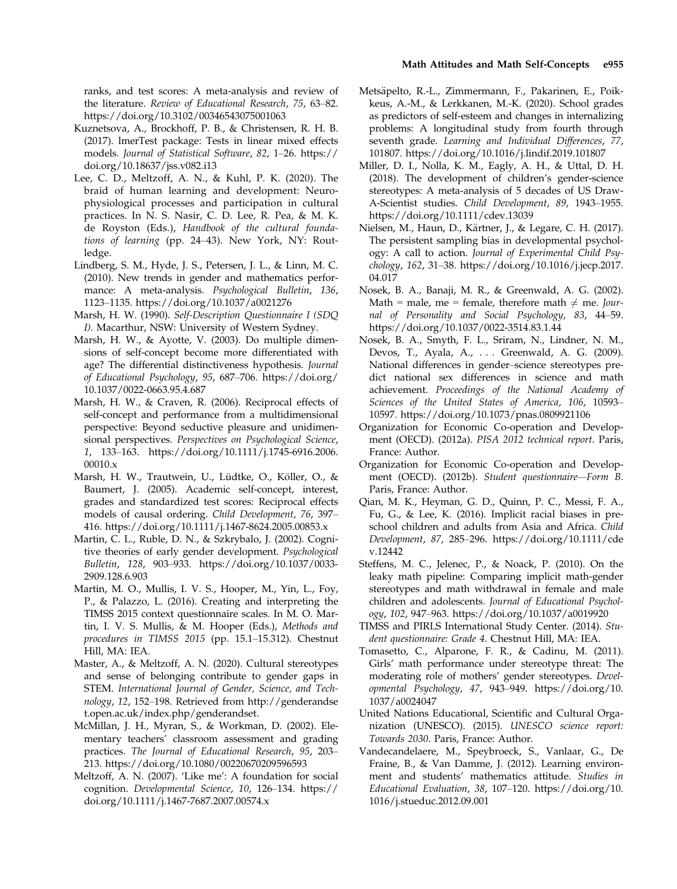ranks, and test scores: A meta-analysis and review of the literature. Review of Educational Research, 75, 63–82. <https://doi.org/10.3102/00346543075001063>

- Kuznetsova, A., Brockhoff, P. B., & Christensen, R. H. B. (2017). lmerTest package: Tests in linear mixed effects models. Journal of Statistical Software, 82, 1–26. [https://](https://doi.org/10.18637/jss.v082.i13) [doi.org/10.18637/jss.v082.i13](https://doi.org/10.18637/jss.v082.i13)
- Lee, C. D., Meltzoff, A. N., & Kuhl, P. K. (2020). The braid of human learning and development: Neurophysiological processes and participation in cultural practices. In N. S. Nasir, C. D. Lee, R. Pea, & M. K. de Royston (Eds.), Handbook of the cultural foundations of learning (pp. 24–43). New York, NY: Routledge.
- Lindberg, S. M., Hyde, J. S., Petersen, J. L., & Linn, M. C. (2010). New trends in gender and mathematics performance: A meta-analysis. Psychological Bulletin, 136, 1123–1135.<https://doi.org/10.1037/a0021276>
- Marsh, H. W. (1990). Self-Description Questionnaire I (SDQ I). Macarthur, NSW: University of Western Sydney.
- Marsh, H. W., & Ayotte, V. (2003). Do multiple dimensions of self-concept become more differentiated with age? The differential distinctiveness hypothesis. Journal of Educational Psychology, 95, 687–706. [https://doi.org/](https://doi.org/10.1037/0022-0663.95.4.687) [10.1037/0022-0663.95.4.687](https://doi.org/10.1037/0022-0663.95.4.687)
- Marsh, H. W., & Craven, R. (2006). Reciprocal effects of self-concept and performance from a multidimensional perspective: Beyond seductive pleasure and unidimensional perspectives. Perspectives on Psychological Science, 1, 133–163. [https://doi.org/10.1111/j.1745-6916.2006.](https://doi.org/10.1111/j.1745-6916.2006.00010.x) [00010.x](https://doi.org/10.1111/j.1745-6916.2006.00010.x)
- Marsh, H. W., Trautwein, U., Lüdtke, O., Köller, O., & Baumert, J. (2005). Academic self-concept, interest, grades and standardized test scores: Reciprocal effects models of causal ordering. Child Development, 76, 397– 416.<https://doi.org/10.1111/j.1467-8624.2005.00853.x>
- Martin, C. L., Ruble, D. N., & Szkrybalo, J. (2002). Cognitive theories of early gender development. Psychological Bulletin, 128, 903–933. [https://doi.org/10.1037/0033-](https://doi.org/10.1037/0033-2909.128.6.903) [2909.128.6.903](https://doi.org/10.1037/0033-2909.128.6.903)
- Martin, M. O., Mullis, I. V. S., Hooper, M., Yin, L., Foy, P., & Palazzo, L. (2016). Creating and interpreting the TIMSS 2015 context questionnaire scales. In M. O. Martin, I. V. S. Mullis, & M. Hooper (Eds.), Methods and procedures in TIMSS 2015 (pp. 15.1–15.312). Chestnut Hill, MA: IEA.
- Master, A., & Meltzoff, A. N. (2020). Cultural stereotypes and sense of belonging contribute to gender gaps in STEM. International Journal of Gender, Science, and Technology, 12, 152–198. Retrieved from [http://genderandse](http://genderandset.open.ac.uk/index.php/genderandset) [t.open.ac.uk/index.php/genderandset.](http://genderandset.open.ac.uk/index.php/genderandset)
- McMillan, J. H., Myran, S., & Workman, D. (2002). Elementary teachers' classroom assessment and grading practices. The Journal of Educational Research, 95, 203– 213.<https://doi.org/10.1080/00220670209596593>
- Meltzoff, A. N. (2007). 'Like me': A foundation for social cognition. Developmental Science, 10, 126–134. [https://](https://doi.org/10.1111/j.1467-7687.2007.00574.x) [doi.org/10.1111/j.1467-7687.2007.00574.x](https://doi.org/10.1111/j.1467-7687.2007.00574.x)
- Metsäpelto, R.-L., Zimmermann, F., Pakarinen, E., Poikkeus, A.-M., & Lerkkanen, M.-K. (2020). School grades as predictors of self-esteem and changes in internalizing problems: A longitudinal study from fourth through seventh grade. Learning and Individual Differences, 77, 101807.<https://doi.org/10.1016/j.lindif.2019.101807>
- Miller, D. I., Nolla, K. M., Eagly, A. H., & Uttal, D. H. (2018). The development of children's gender-science stereotypes: A meta-analysis of 5 decades of US Draw-A-Scientist studies. Child Development, 89, 1943–1955. <https://doi.org/10.1111/cdev.13039>
- Nielsen, M., Haun, D., Kärtner, J., & Legare, C. H. (2017). The persistent sampling bias in developmental psychology: A call to action. Journal of Experimental Child Psychology, 162, 31–38. [https://doi.org/10.1016/j.jecp.2017.](https://doi.org/10.1016/j.jecp.2017.04.017) [04.017](https://doi.org/10.1016/j.jecp.2017.04.017)
- Nosek, B. A., Banaji, M. R., & Greenwald, A. G. (2002). Math = male, me = female, therefore math  $\neq$  me. Journal of Personality and Social Psychology, 83, 44–59. <https://doi.org/10.1037/0022-3514.83.1.44>
- Nosek, B. A., Smyth, F. L., Sriram, N., Lindner, N. M., Devos, T., Ayala, A., . . . Greenwald, A. G. (2009). National differences in gender–science stereotypes predict national sex differences in science and math achievement. Proceedings of the National Academy of Sciences of the United States of America, 106, 10593– 10597.<https://doi.org/10.1073/pnas.0809921106>
- Organization for Economic Co-operation and Development (OECD). (2012a). PISA 2012 technical report. Paris, France: Author.
- Organization for Economic Co-operation and Development (OECD). (2012b). Student questionnaire—Form B. Paris, France: Author.
- Qian, M. K., Heyman, G. D., Quinn, P. C., Messi, F. A., Fu, G., & Lee, K. (2016). Implicit racial biases in preschool children and adults from Asia and Africa. Child Development, 87, 285–296. [https://doi.org/10.1111/cde](https://doi.org/10.1111/cdev.12442) [v.12442](https://doi.org/10.1111/cdev.12442)
- Steffens, M. C., Jelenec, P., & Noack, P. (2010). On the leaky math pipeline: Comparing implicit math-gender stereotypes and math withdrawal in female and male children and adolescents. Journal of Educational Psychology, 102, 947–963.<https://doi.org/10.1037/a0019920>
- TIMSS and PIRLS International Study Center. (2014). Student questionnaire: Grade 4. Chestnut Hill, MA: IEA.
- Tomasetto, C., Alparone, F. R., & Cadinu, M. (2011). Girls' math performance under stereotype threat: The moderating role of mothers' gender stereotypes. Developmental Psychology, 47, 943–949. [https://doi.org/10.](https://doi.org/10.1037/a0024047) [1037/a0024047](https://doi.org/10.1037/a0024047)
- United Nations Educational, Scientific and Cultural Organization (UNESCO). (2015). UNESCO science report: Towards 2030. Paris, France: Author.
- Vandecandelaere, M., Speybroeck, S., Vanlaar, G., De Fraine, B., & Van Damme, J. (2012). Learning environment and students' mathematics attitude. Studies in Educational Evaluation, 38, 107–120. [https://doi.org/10.](https://doi.org/10.1016/j.stueduc.2012.09.001) [1016/j.stueduc.2012.09.001](https://doi.org/10.1016/j.stueduc.2012.09.001)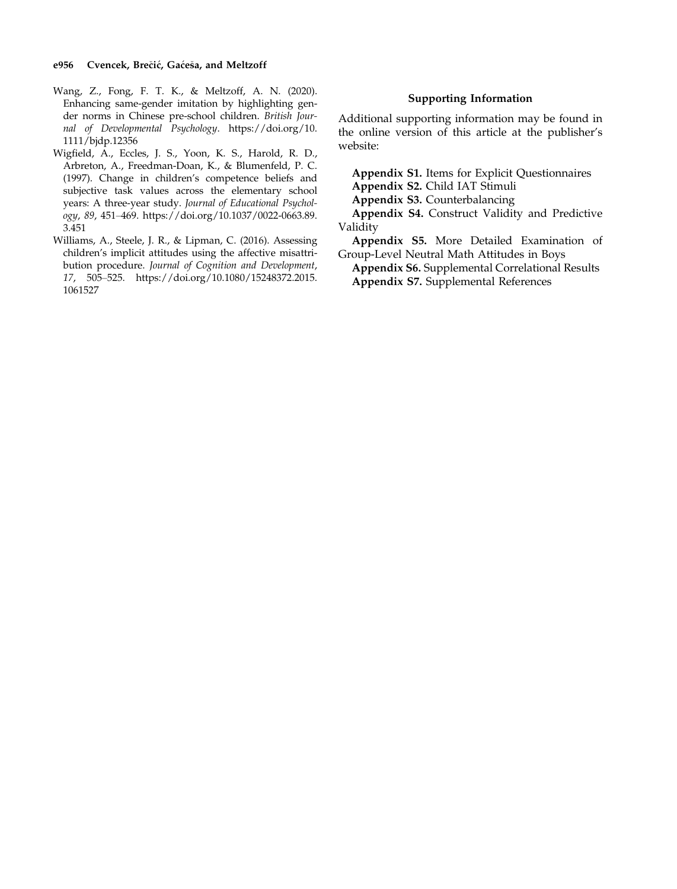#### e956 Cvencek, Brečić, Gaćeša, and Meltzoff

- Wang, Z., Fong, F. T. K., & Meltzoff, A. N. (2020). Enhancing same-gender imitation by highlighting gender norms in Chinese pre-school children. British Journal of Developmental Psychology. [https://doi.org/10.](https://doi.org/10.1111/bjdp.12356) [1111/bjdp.12356](https://doi.org/10.1111/bjdp.12356)
- Wigfield, A., Eccles, J. S., Yoon, K. S., Harold, R. D., Arbreton, A., Freedman-Doan, K., & Blumenfeld, P. C. (1997). Change in children's competence beliefs and subjective task values across the elementary school years: A three-year study. Journal of Educational Psychology, 89, 451–469. [https://doi.org/10.1037/0022-0663.89.](https://doi.org/10.1037/0022-0663.89.3.451) [3.451](https://doi.org/10.1037/0022-0663.89.3.451)
- Williams, A., Steele, J. R., & Lipman, C. (2016). Assessing children's implicit attitudes using the affective misattribution procedure. Journal of Cognition and Development, 17, 505–525. [https://doi.org/10.1080/15248372.2015.](https://doi.org/10.1080/15248372.2015.1061527) [1061527](https://doi.org/10.1080/15248372.2015.1061527)

### Supporting Information

Additional supporting information may be found in the online version of this article at the publisher's website:

Appendix S1. Items for Explicit Questionnaires

Appendix S2. Child IAT Stimuli

Appendix S3. Counterbalancing

Appendix S4. Construct Validity and Predictive Validity

Appendix S5. More Detailed Examination of Group-Level Neutral Math Attitudes in Boys

Appendix S6. Supplemental Correlational Results Appendix S7. Supplemental References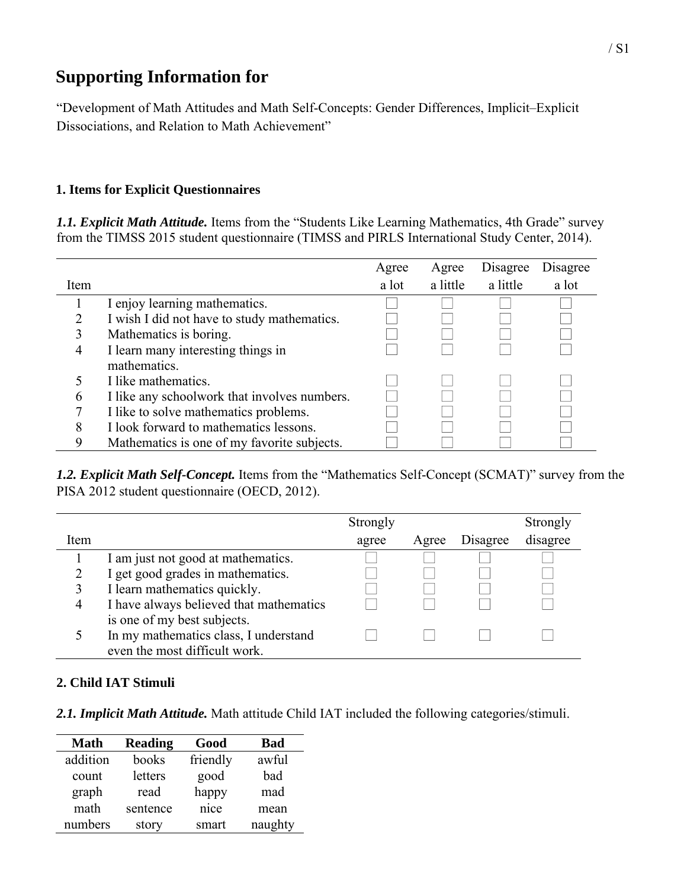# **Supporting Information for**

"Development of Math Attitudes and Math Self-Concepts: Gender Differences, Implicit–Explicit Dissociations, and Relation to Math Achievement"

# **1. Items for Explicit Questionnaires**

*1.1. Explicit Math Attitude.* Items from the "Students Like Learning Mathematics, 4th Grade" survey from the TIMSS 2015 student questionnaire (TIMSS and PIRLS International Study Center, 2014).

|              |                                              | Agree | Agree    | Disagree | Disagree |
|--------------|----------------------------------------------|-------|----------|----------|----------|
| Item         |                                              | a lot | a little | a little | a lot    |
|              | I enjoy learning mathematics.                |       |          |          |          |
|              | I wish I did not have to study mathematics.  |       |          |          |          |
| 3            | Mathematics is boring.                       |       |          |          |          |
| 4            | I learn many interesting things in           |       |          |          |          |
|              | mathematics.                                 |       |          |          |          |
|              | I like mathematics.                          |       |          |          |          |
| <sub>b</sub> | I like any schoolwork that involves numbers. |       |          |          |          |
|              | I like to solve mathematics problems.        |       |          |          |          |
| 8            | I look forward to mathematics lessons.       |       |          |          |          |
| 9            | Mathematics is one of my favorite subjects.  |       |          |          |          |

*1.2. Explicit Math Self-Concept.* Items from the "Mathematics Self-Concept (SCMAT)" survey from the PISA 2012 student questionnaire (OECD, 2012).

|                |                                         | Strongly |       |          | Strongly |
|----------------|-----------------------------------------|----------|-------|----------|----------|
| Item           |                                         | agree    | Agree | Disagree | disagree |
|                | I am just not good at mathematics.      |          |       |          |          |
|                | I get good grades in mathematics.       |          |       |          |          |
|                | I learn mathematics quickly.            |          |       |          |          |
| $\overline{4}$ | I have always believed that mathematics |          |       |          |          |
|                | is one of my best subjects.             |          |       |          |          |
|                | In my mathematics class, I understand   |          |       |          |          |
|                | even the most difficult work.           |          |       |          |          |

# **2. Child IAT Stimuli**

*2.1. Implicit Math Attitude.* Math attitude Child IAT included the following categories/stimuli.

| <b>Math</b> | <b>Reading</b> | Good     | <b>Bad</b> |
|-------------|----------------|----------|------------|
| addition    | books          | friendly | awful      |
| count       | letters        | good     | bad        |
| graph       | read           | happy    | mad        |
| math        | sentence       | nice     | mean       |
| numbers     | story          | smart    | naughty    |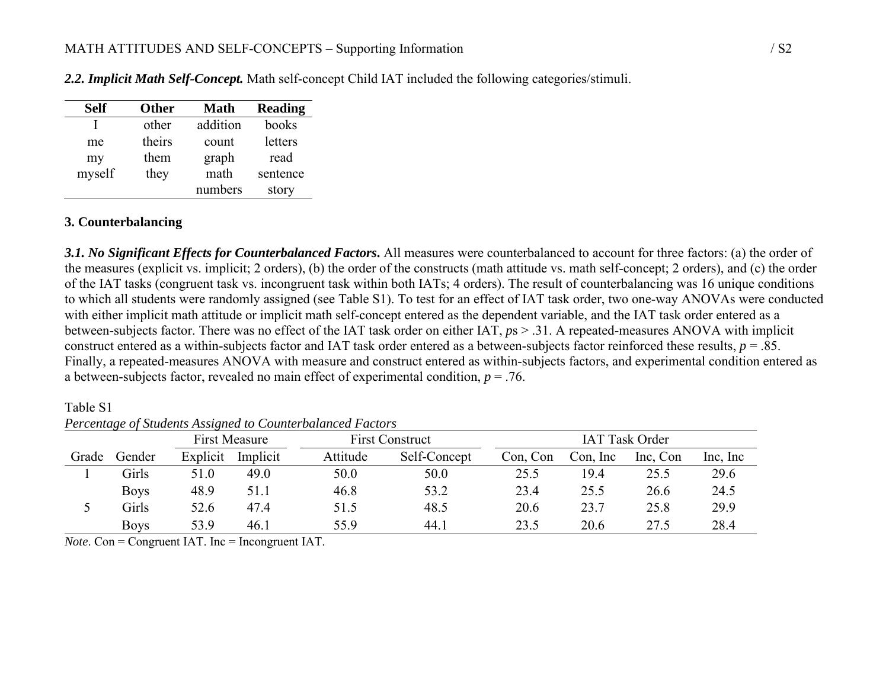| <b>Self</b> | <b>Other</b> | <b>Math</b> | <b>Reading</b> |
|-------------|--------------|-------------|----------------|
|             | other        | addition    | books          |
| me          | theirs       | count       | letters        |
| my          | them         | graph       | read           |
| myself      | they         | math        | sentence       |
|             |              | numbers     | story          |

*2.2. Implicit Math Self-Concept.* Math self-concept Child IAT included the following categories/stimuli.

# **3. Counterbalancing**

*3.1. No Significant Effects for Counterbalanced Factors***.** All measures were counterbalanced to account for three factors: (a) the order of the measures (explicit vs. implicit; 2 orders), (b) the order of the constructs (math attitude vs. math self-concept; 2 orders), and (c) the order of the IAT tasks (congruent task vs. incongruent task within both IATs; 4 orders). The result of counterbalancing was 16 unique conditions to which all students were randomly assigned (see Table S1). To test for an effect of IAT task order, two one-way ANOVAs were conducted with either implicit math attitude or implicit math self-concept entered as the dependent variable, and the IAT task order entered as a between-subjects factor. There was no effect of the IAT task order on either IAT, *p*s > .31. A repeated-measures ANOVA with implicit construct entered as a within-subjects factor and IAT task order entered as a between-subjects factor reinforced these results, *p* = .85. Finally, a repeated-measures ANOVA with measure and construct entered as within-subjects factors, and experimental condition entered as a between-subjects factor, revealed no main effect of experimental condition, *p* = .76.

First Measure First Construct IAT Task Order Grade Gender Explicit Implicit Attitude Self-Concept Con, Con Con, Inc Inc, Con Inc, Inc 1 Girls 51.0 49.0 50.0 50.0 25.5 19.4 25.5 29.6 Boys 48.9 51.1 46.8 53.2 23.4 25.5 26.6 24.5 5 Girls 52.6 47.4 51.5 48.5 20.6 23.7 25.8 29.9 Boys 53.9 46.1 55.9 44.1 23.5 20.6 27.5 28.4

Table S1 *Percentage of Students Assigned to Counterbalanced Factors* 

 $\overline{Note.}$  Con = Congruent IAT. Inc = Incongruent IAT.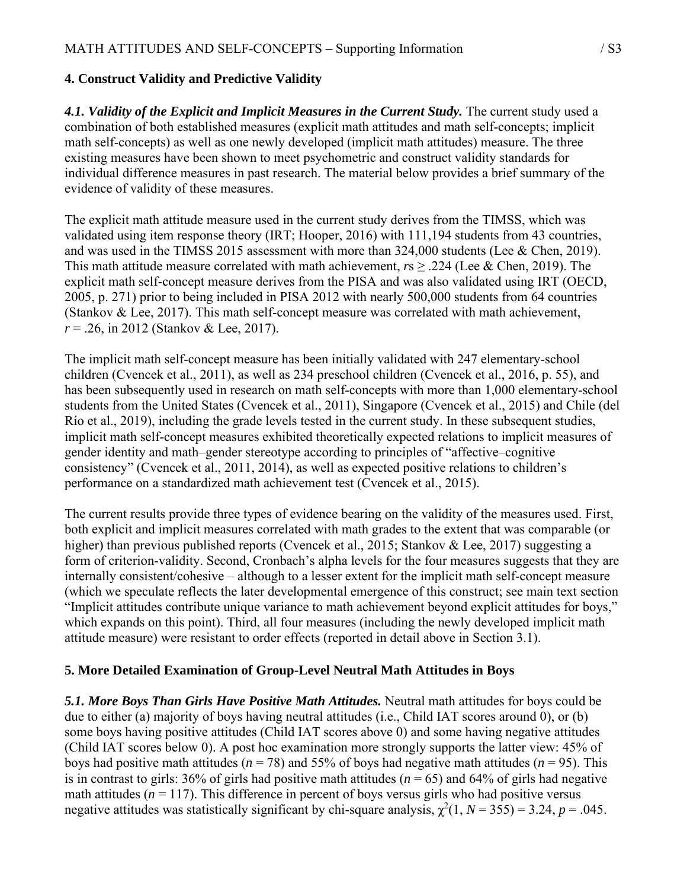# **4. Construct Validity and Predictive Validity**

4.1. Validity of the Explicit and Implicit Measures in the Current Study. The current study used a combination of both established measures (explicit math attitudes and math self-concepts; implicit math self-concepts) as well as one newly developed (implicit math attitudes) measure. The three existing measures have been shown to meet psychometric and construct validity standards for individual difference measures in past research. The material below provides a brief summary of the evidence of validity of these measures.

The explicit math attitude measure used in the current study derives from the TIMSS, which was validated using item response theory (IRT; Hooper, 2016) with 111,194 students from 43 countries, and was used in the TIMSS 2015 assessment with more than 324,000 students (Lee & Chen, 2019). This math attitude measure correlated with math achievement, *r*s ≥ .224 (Lee & Chen, 2019). The explicit math self-concept measure derives from the PISA and was also validated using IRT (OECD, 2005, p. 271) prior to being included in PISA 2012 with nearly 500,000 students from 64 countries (Stankov & Lee, 2017). This math self-concept measure was correlated with math achievement, *r* = .26, in 2012 (Stankov & Lee, 2017).

The implicit math self-concept measure has been initially validated with 247 elementary-school children (Cvencek et al., 2011), as well as 234 preschool children (Cvencek et al., 2016, p. 55), and has been subsequently used in research on math self-concepts with more than 1,000 elementary-school students from the United States (Cvencek et al., 2011), Singapore (Cvencek et al., 2015) and Chile (del Río et al., 2019), including the grade levels tested in the current study. In these subsequent studies, implicit math self-concept measures exhibited theoretically expected relations to implicit measures of gender identity and math–gender stereotype according to principles of "affective–cognitive consistency" (Cvencek et al., 2011, 2014), as well as expected positive relations to children's performance on a standardized math achievement test (Cvencek et al., 2015).

The current results provide three types of evidence bearing on the validity of the measures used. First, both explicit and implicit measures correlated with math grades to the extent that was comparable (or higher) than previous published reports (Cvencek et al., 2015; Stankov & Lee, 2017) suggesting a form of criterion-validity. Second, Cronbach's alpha levels for the four measures suggests that they are internally consistent/cohesive – although to a lesser extent for the implicit math self-concept measure (which we speculate reflects the later developmental emergence of this construct; see main text section "Implicit attitudes contribute unique variance to math achievement beyond explicit attitudes for boys," which expands on this point). Third, all four measures (including the newly developed implicit math attitude measure) were resistant to order effects (reported in detail above in Section 3.1).

# **5. More Detailed Examination of Group-Level Neutral Math Attitudes in Boys**

*5.1. More Boys Than Girls Have Positive Math Attitudes.* Neutral math attitudes for boys could be due to either (a) majority of boys having neutral attitudes (i.e., Child IAT scores around 0), or (b) some boys having positive attitudes (Child IAT scores above 0) and some having negative attitudes (Child IAT scores below 0). A post hoc examination more strongly supports the latter view: 45% of boys had positive math attitudes ( $n = 78$ ) and 55% of boys had negative math attitudes ( $n = 95$ ). This is in contrast to girls:  $36\%$  of girls had positive math attitudes ( $n = 65$ ) and  $64\%$  of girls had negative math attitudes  $(n = 117)$ . This difference in percent of boys versus girls who had positive versus negative attitudes was statistically significant by chi-square analysis,  $\chi^2(1, N = 355) = 3.24$ ,  $p = .045$ .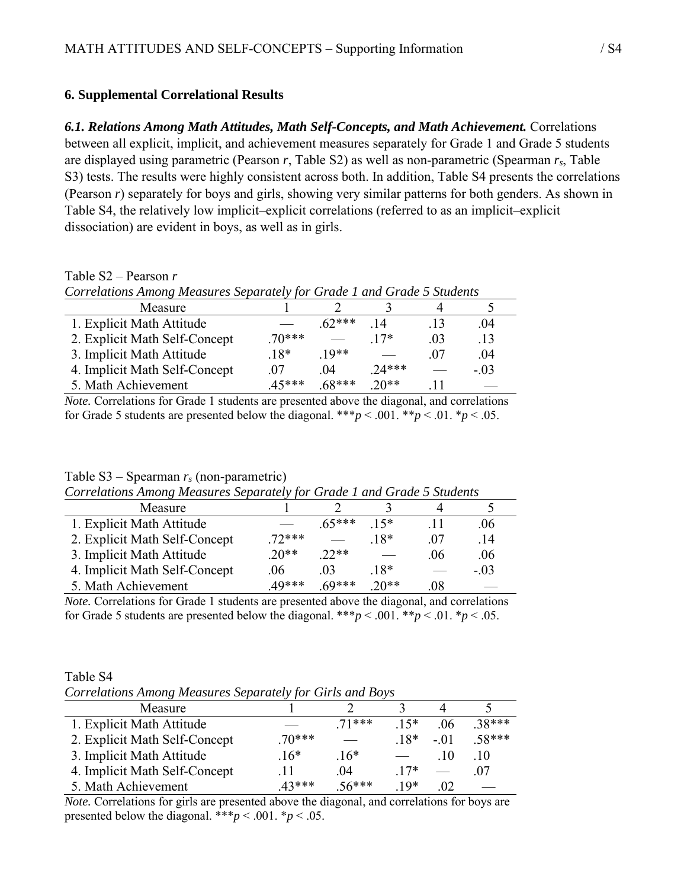# **6. Supplemental Correlational Results**

Table S2 – Pearson *r* 

*6.1. Relations Among Math Attitudes, Math Self-Concepts, and Math Achievement.* Correlations between all explicit, implicit, and achievement measures separately for Grade 1 and Grade 5 students are displayed using parametric (Pearson *r*, Table S2) as well as non-parametric (Spearman *rs*, Table S3) tests. The results were highly consistent across both. In addition, Table S4 presents the correlations (Pearson *r*) separately for boys and girls, showing very similar patterns for both genders. As shown in Table S4, the relatively low implicit–explicit correlations (referred to as an implicit–explicit dissociation) are evident in boys, as well as in girls.

| $1$ and $12$<br>I VAID UITT                                             |         |         |         |                |                  |  |  |
|-------------------------------------------------------------------------|---------|---------|---------|----------------|------------------|--|--|
| Correlations Among Measures Separately for Grade 1 and Grade 5 Students |         |         |         |                |                  |  |  |
| Measure                                                                 |         |         |         |                |                  |  |  |
| 1. Explicit Math Attitude                                               |         | $62***$ | -14     | -13            | .04              |  |  |
| 2. Explicit Math Self-Concept                                           | $70***$ |         | $17*$   | 0 <sup>3</sup> | $\overline{.}13$ |  |  |
| 3. Implicit Math Attitude                                               | $18*$   | $10**$  |         | 07             | -04              |  |  |
| 4. Implicit Math Self-Concept                                           | 07      | -04     | $24***$ |                | $-.03$           |  |  |

5. Math Achievement .45\*\*\* .68\*\*\* .20\*\* .11

*Note.* Correlations for Grade 1 students are presented above the diagonal, and correlations for Grade 5 students are presented below the diagonal. \*\*\* $p < .001$ . \*\* $p < .01$ . \* $p < .05$ .

# Table S3 – Spearman *rs* (non-parametric)

| Correlations Among Measures Separately for Grade 1 and Grade 5 Students |          |                |        |     |       |  |
|-------------------------------------------------------------------------|----------|----------------|--------|-----|-------|--|
| Measure                                                                 |          |                |        |     |       |  |
| 1. Explicit Math Attitude                                               |          | $65***$        | $15*$  | -11 | -06   |  |
| 2. Explicit Math Self-Concept                                           | $.72***$ |                | $18*$  | -07 | .14   |  |
| 3. Implicit Math Attitude                                               | $20**$   | $22**$         |        | -06 | .06   |  |
| 4. Implicit Math Self-Concept                                           | -06      | 0 <sup>3</sup> | $.18*$ |     | $-03$ |  |
| 5. Math Achievement                                                     | 49***    | $69***$        | $20**$ | .08 |       |  |

*Note.* Correlations for Grade 1 students are presented above the diagonal, and correlations for Grade 5 students are presented below the diagonal. \*\*\* $p < .001$ . \*\* $p < .01$ . \* $p < .05$ .

| Table S4                                                  |  |  |
|-----------------------------------------------------------|--|--|
| Correlations Among Measures Separately for Girls and Boys |  |  |

| $\sim$ . $\sim$ . $\sim$ . $\sim$ . $\sim$ . $\sim$ . $\sim$ . $\sim$ . $\sim$ . $\sim$ . $\sim$ . $\sim$ . $\sim$ . $\sim$ . $\sim$ . $\sim$ . $\sim$ . $\sim$ . $\sim$ . $\sim$ . $\sim$ . $\sim$ . $\sim$ . $\sim$ . $\sim$ . $\sim$ . $\sim$ . $\sim$ . $\sim$ . $\sim$ . $\sim$ . $\sim$ |         |         |       |          |       |
|-----------------------------------------------------------------------------------------------------------------------------------------------------------------------------------------------------------------------------------------------------------------------------------------------|---------|---------|-------|----------|-------|
| Measure                                                                                                                                                                                                                                                                                       |         |         |       |          |       |
| 1. Explicit Math Attitude                                                                                                                                                                                                                                                                     |         | $71***$ | $15*$ | 06       | 38*** |
| 2. Explicit Math Self-Concept                                                                                                                                                                                                                                                                 | $70***$ |         | $18*$ | $-01$    | 58*** |
| 3. Implicit Math Attitude                                                                                                                                                                                                                                                                     | $16*$   | $16*$   |       | -10      | 10    |
| 4. Implicit Math Self-Concept                                                                                                                                                                                                                                                                 | 11      | -04     | $17*$ |          | 07    |
| 5. Math Achievement                                                                                                                                                                                                                                                                           | $43***$ | $56***$ | $10*$ | $\Omega$ |       |

*Note.* Correlations for girls are presented above the diagonal, and correlations for boys are presented below the diagonal. \*\*\**p* < .001. \**p* < .05.